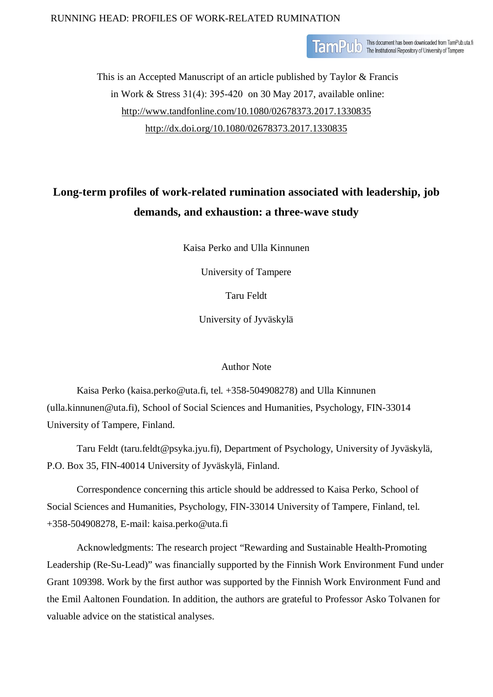# RUNNING HEAD: PROFILES OF WORK-RELATED RUMINATION

TamPub This document has been downloaded from TamPub.uta.fi

This is an Accepted Manuscript of an article published by Taylor & Francis in Work & Stress 31(4): 395-420 on 30 May 2017, available online: <http://www.tandfonline.com/10.1080/02678373.2017.1330835> <http://dx.doi.org/10.1080/02678373.2017.1330835>

# **Long-term profiles of work-related rumination associated with leadership, job demands, and exhaustion: a three-wave study**

Kaisa Perko and Ulla Kinnunen

University of Tampere

Taru Feldt

University of Jyväskylä

# Author Note

Kaisa Perko (kaisa.perko@uta.fi, tel. +358-504908278) and Ulla Kinnunen (ulla.kinnunen@uta.fi), School of Social Sciences and Humanities, Psychology, FIN-33014 University of Tampere, Finland.

Taru Feldt (taru.feldt@psyka.jyu.fi), Department of Psychology, University of Jyväskylä, P.O. Box 35, FIN-40014 University of Jyväskylä, Finland.

Correspondence concerning this article should be addressed to Kaisa Perko, School of Social Sciences and Humanities, Psychology, FIN-33014 University of Tampere, Finland, tel. +358-504908278, E-mail: [kaisa.perko@uta.fi](mailto:kaisa.perko@uta.fi)

Acknowledgments: The research project "Rewarding and Sustainable Health-Promoting Leadership (Re-Su-Lead)" was financially supported by the Finnish Work Environment Fund under Grant 109398. Work by the first author was supported by the Finnish Work Environment Fund and the Emil Aaltonen Foundation. In addition, the authors are grateful to Professor Asko Tolvanen for valuable advice on the statistical analyses.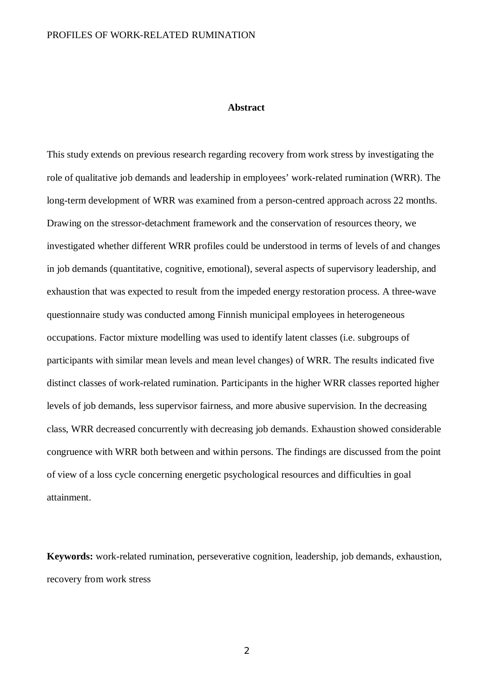#### **Abstract**

This study extends on previous research regarding recovery from work stress by investigating the role of qualitative job demands and leadership in employees' work-related rumination (WRR). The long-term development of WRR was examined from a person-centred approach across 22 months. Drawing on the stressor-detachment framework and the conservation of resources theory, we investigated whether different WRR profiles could be understood in terms of levels of and changes in job demands (quantitative, cognitive, emotional), several aspects of supervisory leadership, and exhaustion that was expected to result from the impeded energy restoration process. A three-wave questionnaire study was conducted among Finnish municipal employees in heterogeneous occupations. Factor mixture modelling was used to identify latent classes (i.e. subgroups of participants with similar mean levels and mean level changes) of WRR. The results indicated five distinct classes of work-related rumination. Participants in the higher WRR classes reported higher levels of job demands, less supervisor fairness, and more abusive supervision. In the decreasing class, WRR decreased concurrently with decreasing job demands. Exhaustion showed considerable congruence with WRR both between and within persons. The findings are discussed from the point of view of a loss cycle concerning energetic psychological resources and difficulties in goal attainment.

**Keywords:** work-related rumination, perseverative cognition, leadership, job demands, exhaustion, recovery from work stress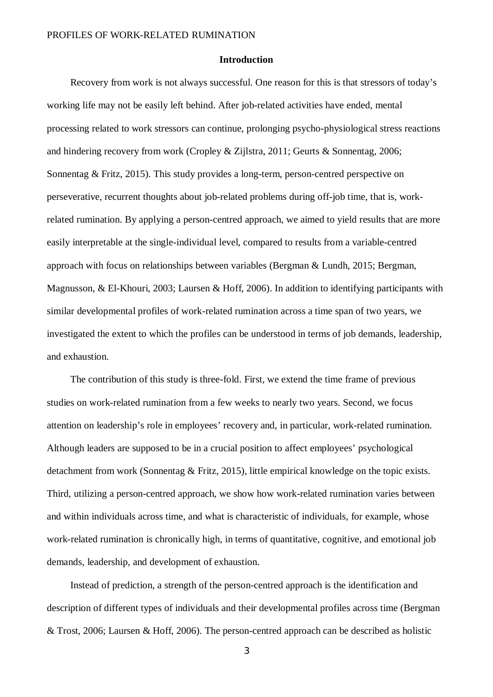# **Introduction**

Recovery from work is not always successful. One reason for this is that stressors of today's working life may not be easily left behind. After job-related activities have ended, mental processing related to work stressors can continue, prolonging psycho-physiological stress reactions and hindering recovery from work (Cropley & Zijlstra, 2011; Geurts & Sonnentag, 2006; Sonnentag & Fritz, 2015). This study provides a long-term, person-centred perspective on perseverative, recurrent thoughts about job-related problems during off-job time, that is, workrelated rumination. By applying a person-centred approach, we aimed to yield results that are more easily interpretable at the single-individual level, compared to results from a variable-centred approach with focus on relationships between variables (Bergman & Lundh, 2015; Bergman, Magnusson, & El-Khouri, 2003; Laursen & Hoff, 2006). In addition to identifying participants with similar developmental profiles of work-related rumination across a time span of two years, we investigated the extent to which the profiles can be understood in terms of job demands, leadership, and exhaustion.

The contribution of this study is three-fold. First, we extend the time frame of previous studies on work-related rumination from a few weeks to nearly two years. Second, we focus attention on leadership's role in employees' recovery and, in particular, work-related rumination. Although leaders are supposed to be in a crucial position to affect employees' psychological detachment from work (Sonnentag & Fritz, 2015), little empirical knowledge on the topic exists. Third, utilizing a person-centred approach, we show how work-related rumination varies between and within individuals across time, and what is characteristic of individuals, for example, whose work-related rumination is chronically high, in terms of quantitative, cognitive, and emotional job demands, leadership, and development of exhaustion.

Instead of prediction, a strength of the person-centred approach is the identification and description of different types of individuals and their developmental profiles across time (Bergman & Trost, 2006; Laursen & Hoff, 2006). The person-centred approach can be described as holistic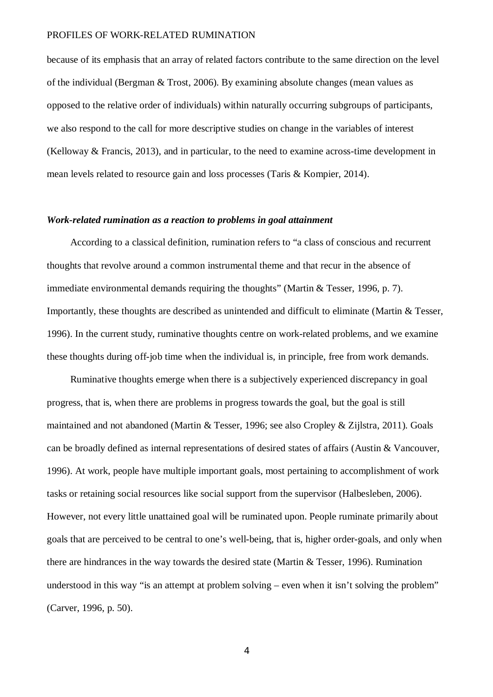because of its emphasis that an array of related factors contribute to the same direction on the level of the individual (Bergman & Trost, 2006). By examining absolute changes (mean values as opposed to the relative order of individuals) within naturally occurring subgroups of participants, we also respond to the call for more descriptive studies on change in the variables of interest (Kelloway & Francis, 2013), and in particular, to the need to examine across-time development in mean levels related to resource gain and loss processes (Taris & Kompier, 2014).

#### *Work-related rumination as a reaction to problems in goal attainment*

According to a classical definition, rumination refers to "a class of conscious and recurrent thoughts that revolve around a common instrumental theme and that recur in the absence of immediate environmental demands requiring the thoughts" (Martin & Tesser, 1996, p. 7). Importantly, these thoughts are described as unintended and difficult to eliminate (Martin & Tesser, 1996). In the current study, ruminative thoughts centre on work-related problems, and we examine these thoughts during off-job time when the individual is, in principle, free from work demands.

Ruminative thoughts emerge when there is a subjectively experienced discrepancy in goal progress, that is, when there are problems in progress towards the goal, but the goal is still maintained and not abandoned (Martin & Tesser, 1996; see also Cropley & Zijlstra, 2011). Goals can be broadly defined as internal representations of desired states of affairs (Austin & Vancouver, 1996). At work, people have multiple important goals, most pertaining to accomplishment of work tasks or retaining social resources like social support from the supervisor (Halbesleben, 2006). However, not every little unattained goal will be ruminated upon. People ruminate primarily about goals that are perceived to be central to one's well-being, that is, higher order-goals, and only when there are hindrances in the way towards the desired state (Martin & Tesser, 1996). Rumination understood in this way "is an attempt at problem solving – even when it isn't solving the problem" (Carver, 1996, p. 50).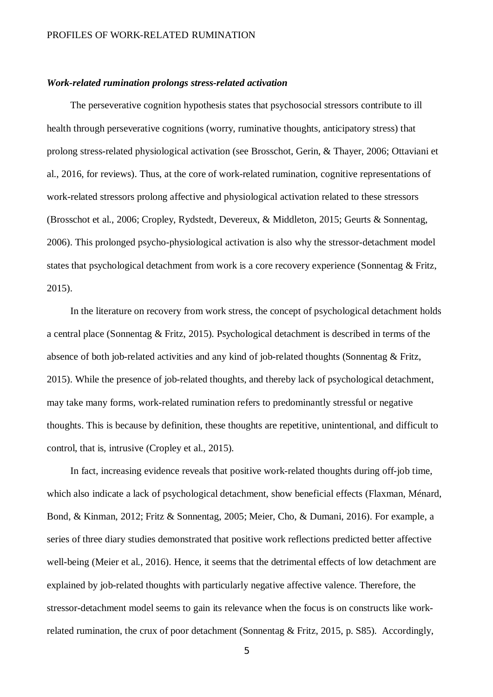# *Work-related rumination prolongs stress-related activation*

The perseverative cognition hypothesis states that psychosocial stressors contribute to ill health through perseverative cognitions (worry, ruminative thoughts, anticipatory stress) that prolong stress-related physiological activation (see Brosschot, Gerin, & Thayer, 2006; Ottaviani et al., 2016, for reviews). Thus, at the core of work-related rumination, cognitive representations of work-related stressors prolong affective and physiological activation related to these stressors (Brosschot et al., 2006; Cropley, Rydstedt, Devereux, & Middleton, 2015; Geurts & Sonnentag, 2006). This prolonged psycho-physiological activation is also why the stressor-detachment model states that psychological detachment from work is a core recovery experience (Sonnentag & Fritz, 2015).

In the literature on recovery from work stress, the concept of psychological detachment holds a central place (Sonnentag & Fritz, 2015). Psychological detachment is described in terms of the absence of both job-related activities and any kind of job-related thoughts (Sonnentag & Fritz, 2015). While the presence of job-related thoughts, and thereby lack of psychological detachment, may take many forms, work-related rumination refers to predominantly stressful or negative thoughts. This is because by definition, these thoughts are repetitive, unintentional, and difficult to control, that is, intrusive (Cropley et al., 2015).

In fact, increasing evidence reveals that positive work-related thoughts during off-job time, which also indicate a lack of psychological detachment, show beneficial effects (Flaxman, Ménard, Bond, & Kinman, 2012; Fritz & Sonnentag, 2005; Meier, Cho, & Dumani, 2016). For example, a series of three diary studies demonstrated that positive work reflections predicted better affective well-being (Meier et al., 2016). Hence, it seems that the detrimental effects of low detachment are explained by job-related thoughts with particularly negative affective valence. Therefore, the stressor-detachment model seems to gain its relevance when the focus is on constructs like workrelated rumination, the crux of poor detachment (Sonnentag & Fritz, 2015, p. S85). Accordingly,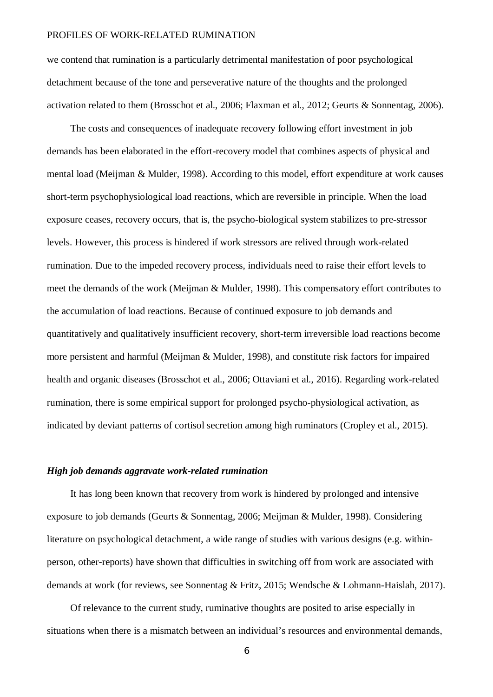we contend that rumination is a particularly detrimental manifestation of poor psychological detachment because of the tone and perseverative nature of the thoughts and the prolonged activation related to them (Brosschot et al., 2006; Flaxman et al., 2012; Geurts & Sonnentag, 2006).

The costs and consequences of inadequate recovery following effort investment in job demands has been elaborated in the effort-recovery model that combines aspects of physical and mental load (Meijman & Mulder, 1998). According to this model, effort expenditure at work causes short-term psychophysiological load reactions, which are reversible in principle. When the load exposure ceases, recovery occurs, that is, the psycho-biological system stabilizes to pre-stressor levels. However, this process is hindered if work stressors are relived through work-related rumination. Due to the impeded recovery process, individuals need to raise their effort levels to meet the demands of the work (Meijman & Mulder, 1998). This compensatory effort contributes to the accumulation of load reactions. Because of continued exposure to job demands and quantitatively and qualitatively insufficient recovery, short-term irreversible load reactions become more persistent and harmful (Meijman & Mulder, 1998), and constitute risk factors for impaired health and organic diseases (Brosschot et al., 2006; Ottaviani et al., 2016). Regarding work-related rumination, there is some empirical support for prolonged psycho-physiological activation, as indicated by deviant patterns of cortisol secretion among high ruminators (Cropley et al., 2015).

# *High job demands aggravate work-related rumination*

It has long been known that recovery from work is hindered by prolonged and intensive exposure to job demands (Geurts & Sonnentag, 2006; Meijman & Mulder, 1998). Considering literature on psychological detachment, a wide range of studies with various designs (e.g. withinperson, other-reports) have shown that difficulties in switching off from work are associated with demands at work (for reviews, see Sonnentag & Fritz, 2015; Wendsche & Lohmann-Haislah, 2017).

Of relevance to the current study, ruminative thoughts are posited to arise especially in situations when there is a mismatch between an individual's resources and environmental demands,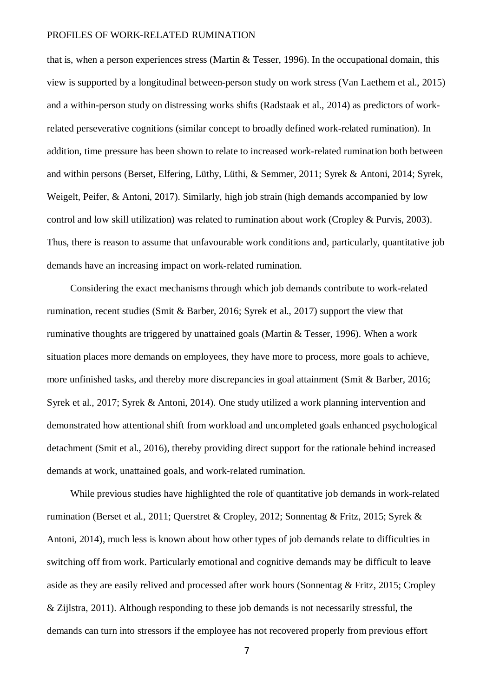that is, when a person experiences stress (Martin & Tesser, 1996). In the occupational domain, this view is supported by a longitudinal between-person study on work stress (Van Laethem et al., 2015) and a within-person study on distressing works shifts (Radstaak et al., 2014) as predictors of workrelated perseverative cognitions (similar concept to broadly defined work-related rumination). In addition, time pressure has been shown to relate to increased work-related rumination both between and within persons (Berset, Elfering, Lüthy, Lüthi, & Semmer, 2011; Syrek & Antoni, 2014; Syrek, Weigelt, Peifer, & Antoni, 2017). Similarly, high job strain (high demands accompanied by low control and low skill utilization) was related to rumination about work (Cropley & Purvis, 2003). Thus, there is reason to assume that unfavourable work conditions and, particularly, quantitative job demands have an increasing impact on work-related rumination.

Considering the exact mechanisms through which job demands contribute to work-related rumination, recent studies (Smit & Barber, 2016; Syrek et al., 2017) support the view that ruminative thoughts are triggered by unattained goals (Martin & Tesser, 1996). When a work situation places more demands on employees, they have more to process, more goals to achieve, more unfinished tasks, and thereby more discrepancies in goal attainment (Smit & Barber, 2016; Syrek et al., 2017; Syrek & Antoni, 2014). One study utilized a work planning intervention and demonstrated how attentional shift from workload and uncompleted goals enhanced psychological detachment (Smit et al., 2016), thereby providing direct support for the rationale behind increased demands at work, unattained goals, and work-related rumination.

While previous studies have highlighted the role of quantitative job demands in work-related rumination (Berset et al., 2011; Querstret & Cropley, 2012; Sonnentag & Fritz, 2015; Syrek & Antoni, 2014), much less is known about how other types of job demands relate to difficulties in switching off from work. Particularly emotional and cognitive demands may be difficult to leave aside as they are easily relived and processed after work hours (Sonnentag & Fritz, 2015; Cropley & Zijlstra, 2011). Although responding to these job demands is not necessarily stressful, the demands can turn into stressors if the employee has not recovered properly from previous effort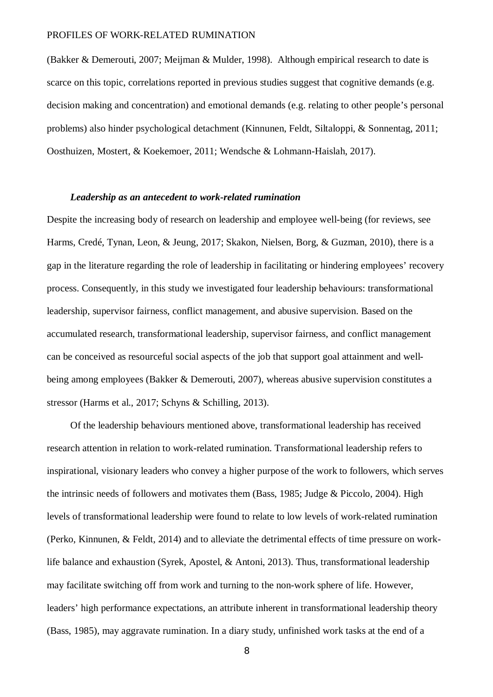(Bakker & Demerouti, 2007; Meijman & Mulder, 1998). Although empirical research to date is scarce on this topic, correlations reported in previous studies suggest that cognitive demands (e.g. decision making and concentration) and emotional demands (e.g. relating to other people's personal problems) also hinder psychological detachment (Kinnunen, Feldt, Siltaloppi, & Sonnentag, 2011; Oosthuizen, Mostert, & Koekemoer, 2011; Wendsche & Lohmann-Haislah, 2017).

# *Leadership as an antecedent to work-related rumination*

Despite the increasing body of research on leadership and employee well-being (for reviews, see Harms, Credé, Tynan, Leon, & Jeung, 2017; Skakon, Nielsen, Borg, & Guzman, 2010), there is a gap in the literature regarding the role of leadership in facilitating or hindering employees' recovery process. Consequently, in this study we investigated four leadership behaviours: transformational leadership, supervisor fairness, conflict management, and abusive supervision. Based on the accumulated research, transformational leadership, supervisor fairness, and conflict management can be conceived as resourceful social aspects of the job that support goal attainment and wellbeing among employees (Bakker & Demerouti, 2007), whereas abusive supervision constitutes a stressor (Harms et al., 2017; Schyns & Schilling, 2013).

Of the leadership behaviours mentioned above, transformational leadership has received research attention in relation to work-related rumination. Transformational leadership refers to inspirational, visionary leaders who convey a higher purpose of the work to followers, which serves the intrinsic needs of followers and motivates them (Bass, 1985; Judge & Piccolo, 2004). High levels of transformational leadership were found to relate to low levels of work-related rumination (Perko, Kinnunen, & Feldt, 2014) and to alleviate the detrimental effects of time pressure on worklife balance and exhaustion (Syrek, Apostel, & Antoni, 2013). Thus, transformational leadership may facilitate switching off from work and turning to the non-work sphere of life. However, leaders' high performance expectations, an attribute inherent in transformational leadership theory (Bass, 1985), may aggravate rumination. In a diary study, unfinished work tasks at the end of a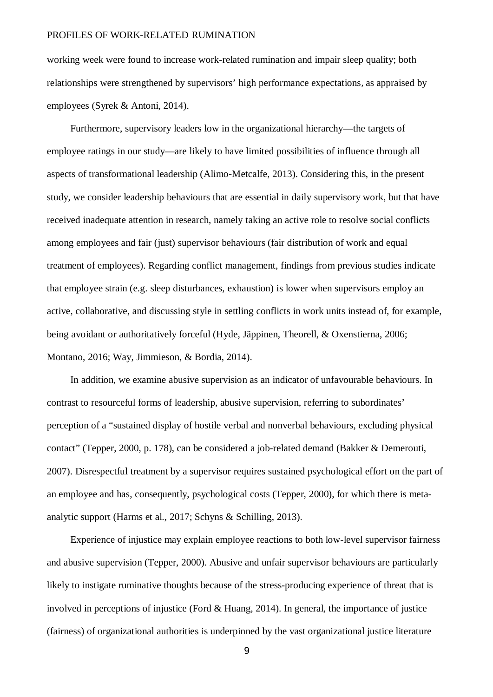working week were found to increase work-related rumination and impair sleep quality; both relationships were strengthened by supervisors' high performance expectations, as appraised by employees (Syrek & Antoni, 2014).

Furthermore, supervisory leaders low in the organizational hierarchy—the targets of employee ratings in our study—are likely to have limited possibilities of influence through all aspects of transformational leadership (Alimo-Metcalfe, 2013). Considering this, in the present study, we consider leadership behaviours that are essential in daily supervisory work, but that have received inadequate attention in research, namely taking an active role to resolve social conflicts among employees and fair (just) supervisor behaviours (fair distribution of work and equal treatment of employees). Regarding conflict management, findings from previous studies indicate that employee strain (e.g. sleep disturbances, exhaustion) is lower when supervisors employ an active, collaborative, and discussing style in settling conflicts in work units instead of, for example, being avoidant or authoritatively forceful (Hyde, Jäppinen, Theorell, & Oxenstierna, 2006; Montano, 2016; Way, Jimmieson, & Bordia, 2014).

In addition, we examine abusive supervision as an indicator of unfavourable behaviours. In contrast to resourceful forms of leadership, abusive supervision, referring to subordinates' perception of a "sustained display of hostile verbal and nonverbal behaviours, excluding physical contact" (Tepper, 2000, p. 178), can be considered a job-related demand (Bakker & Demerouti, 2007). Disrespectful treatment by a supervisor requires sustained psychological effort on the part of an employee and has, consequently, psychological costs (Tepper, 2000), for which there is metaanalytic support (Harms et al., 2017; Schyns & Schilling, 2013).

Experience of injustice may explain employee reactions to both low-level supervisor fairness and abusive supervision (Tepper, 2000). Abusive and unfair supervisor behaviours are particularly likely to instigate ruminative thoughts because of the stress-producing experience of threat that is involved in perceptions of injustice (Ford & Huang, 2014). In general, the importance of justice (fairness) of organizational authorities is underpinned by the vast organizational justice literature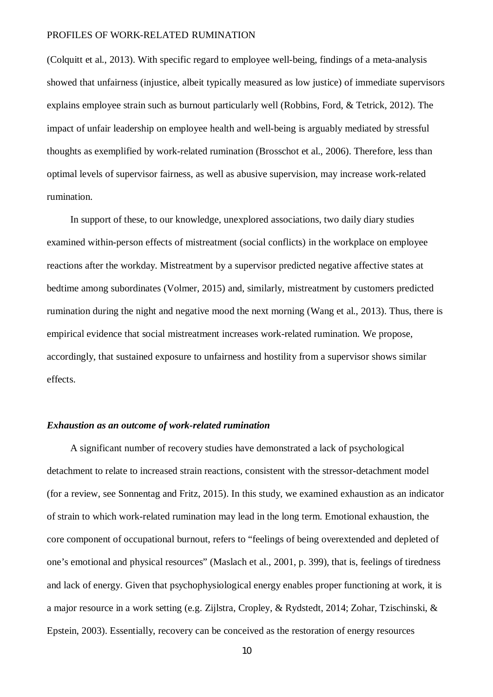(Colquitt et al., 2013). With specific regard to employee well-being, findings of a meta-analysis showed that unfairness (injustice, albeit typically measured as low justice) of immediate supervisors explains employee strain such as burnout particularly well (Robbins, Ford, & Tetrick, 2012). The impact of unfair leadership on employee health and well-being is arguably mediated by stressful thoughts as exemplified by work-related rumination (Brosschot et al., 2006). Therefore, less than optimal levels of supervisor fairness, as well as abusive supervision, may increase work-related rumination.

In support of these, to our knowledge, unexplored associations, two daily diary studies examined within-person effects of mistreatment (social conflicts) in the workplace on employee reactions after the workday. Mistreatment by a supervisor predicted negative affective states at bedtime among subordinates (Volmer, 2015) and, similarly, mistreatment by customers predicted rumination during the night and negative mood the next morning (Wang et al., 2013). Thus, there is empirical evidence that social mistreatment increases work-related rumination. We propose, accordingly, that sustained exposure to unfairness and hostility from a supervisor shows similar effects.

# *Exhaustion as an outcome of work-related rumination*

A significant number of recovery studies have demonstrated a lack of psychological detachment to relate to increased strain reactions, consistent with the stressor-detachment model (for a review, see Sonnentag and Fritz, 2015). In this study, we examined exhaustion as an indicator of strain to which work-related rumination may lead in the long term. Emotional exhaustion, the core component of occupational burnout, refers to "feelings of being overextended and depleted of one's emotional and physical resources" (Maslach et al., 2001, p. 399), that is, feelings of tiredness and lack of energy. Given that psychophysiological energy enables proper functioning at work, it is a major resource in a work setting (e.g. Zijlstra, Cropley, & Rydstedt, 2014; Zohar, Tzischinski, & Epstein, 2003). Essentially, recovery can be conceived as the restoration of energy resources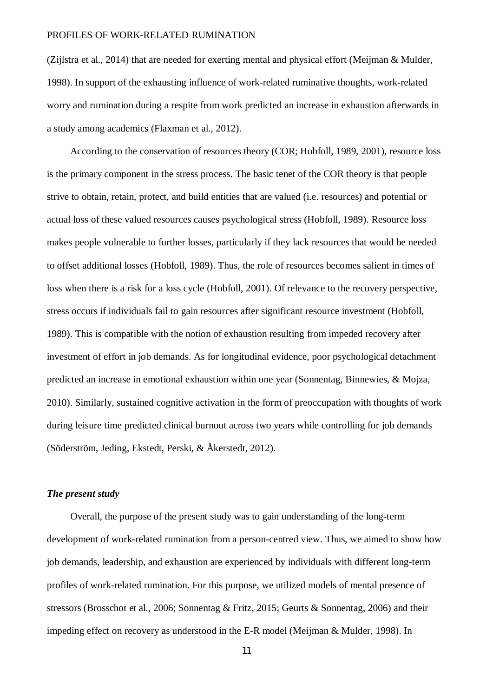(Zijlstra et al., 2014) that are needed for exerting mental and physical effort (Meijman & Mulder, 1998). In support of the exhausting influence of work-related ruminative thoughts, work-related worry and rumination during a respite from work predicted an increase in exhaustion afterwards in a study among academics (Flaxman et al., 2012).

According to the conservation of resources theory (COR; Hobfoll, 1989, 2001), resource loss is the primary component in the stress process. The basic tenet of the COR theory is that people strive to obtain, retain, protect, and build entities that are valued (i.e. resources) and potential or actual loss of these valued resources causes psychological stress (Hobfoll, 1989). Resource loss makes people vulnerable to further losses, particularly if they lack resources that would be needed to offset additional losses (Hobfoll, 1989). Thus, the role of resources becomes salient in times of loss when there is a risk for a loss cycle (Hobfoll, 2001). Of relevance to the recovery perspective, stress occurs if individuals fail to gain resources after significant resource investment (Hobfoll, 1989). This is compatible with the notion of exhaustion resulting from impeded recovery after investment of effort in job demands. As for longitudinal evidence, poor psychological detachment predicted an increase in emotional exhaustion within one year (Sonnentag, Binnewies, & Mojza, 2010). Similarly, sustained cognitive activation in the form of preoccupation with thoughts of work during leisure time predicted clinical burnout across two years while controlling for job demands (Söderström, Jeding, Ekstedt, Perski, & Åkerstedt, 2012).

# *The present study*

Overall, the purpose of the present study was to gain understanding of the long-term development of work-related rumination from a person-centred view. Thus, we aimed to show how job demands, leadership, and exhaustion are experienced by individuals with different long-term profiles of work-related rumination. For this purpose, we utilized models of mental presence of stressors (Brosschot et al., 2006; Sonnentag & Fritz, 2015; Geurts & Sonnentag, 2006) and their impeding effect on recovery as understood in the E-R model (Meijman & Mulder, 1998). In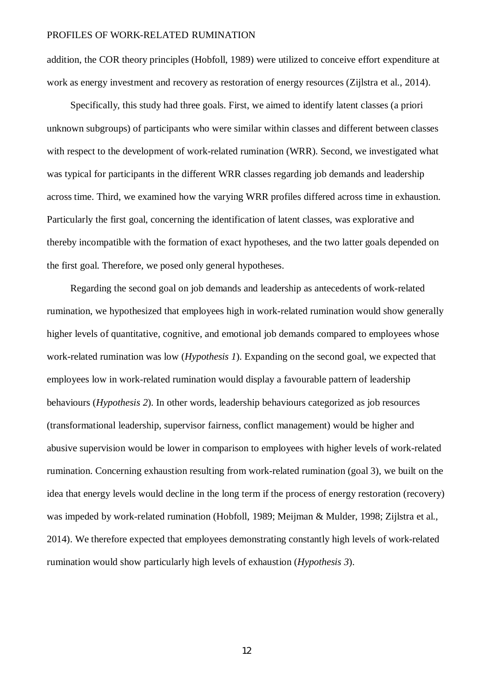addition, the COR theory principles (Hobfoll, 1989) were utilized to conceive effort expenditure at work as energy investment and recovery as restoration of energy resources (Zijlstra et al., 2014).

Specifically, this study had three goals. First, we aimed to identify latent classes (a priori unknown subgroups) of participants who were similar within classes and different between classes with respect to the development of work-related rumination (WRR). Second, we investigated what was typical for participants in the different WRR classes regarding job demands and leadership across time. Third, we examined how the varying WRR profiles differed across time in exhaustion. Particularly the first goal, concerning the identification of latent classes, was explorative and thereby incompatible with the formation of exact hypotheses, and the two latter goals depended on the first goal. Therefore, we posed only general hypotheses.

Regarding the second goal on job demands and leadership as antecedents of work-related rumination, we hypothesized that employees high in work-related rumination would show generally higher levels of quantitative, cognitive, and emotional job demands compared to employees whose work-related rumination was low (*Hypothesis 1*). Expanding on the second goal, we expected that employees low in work-related rumination would display a favourable pattern of leadership behaviours (*Hypothesis 2*). In other words, leadership behaviours categorized as job resources (transformational leadership, supervisor fairness, conflict management) would be higher and abusive supervision would be lower in comparison to employees with higher levels of work-related rumination. Concerning exhaustion resulting from work-related rumination (goal 3), we built on the idea that energy levels would decline in the long term if the process of energy restoration (recovery) was impeded by work-related rumination (Hobfoll, 1989; Meijman & Mulder, 1998; Zijlstra et al., 2014). We therefore expected that employees demonstrating constantly high levels of work-related rumination would show particularly high levels of exhaustion (*Hypothesis 3*).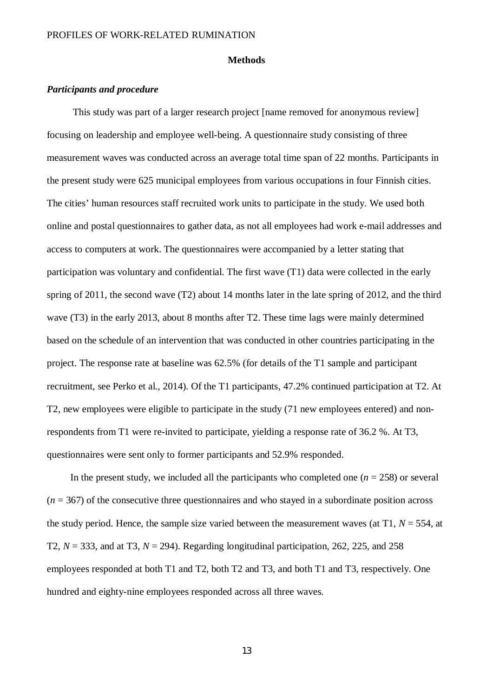#### **Methods**

# *Participants and procedure*

This study was part of a larger research project [name removed for anonymous review] focusing on leadership and employee well-being. A questionnaire study consisting of three measurement waves was conducted across an average total time span of 22 months. Participants in the present study were 625 municipal employees from various occupations in four Finnish cities. The cities' human resources staff recruited work units to participate in the study. We used both online and postal questionnaires to gather data, as not all employees had work e-mail addresses and access to computers at work. The questionnaires were accompanied by a letter stating that participation was voluntary and confidential. The first wave (T1) data were collected in the early spring of 2011, the second wave (T2) about 14 months later in the late spring of 2012, and the third wave (T3) in the early 2013, about 8 months after T2. These time lags were mainly determined based on the schedule of an intervention that was conducted in other countries participating in the project. The response rate at baseline was 62.5% (for details of the T1 sample and participant recruitment, see Perko et al., 2014). Of the T1 participants, 47.2% continued participation at T2. At T2, new employees were eligible to participate in the study (71 new employees entered) and nonrespondents from T1 were re-invited to participate, yielding a response rate of 36.2 %. At T3, questionnaires were sent only to former participants and 52.9% responded.

In the present study, we included all the participants who completed one  $(n = 258)$  or several  $(n = 367)$  of the consecutive three questionnaires and who stayed in a subordinate position across the study period. Hence, the sample size varied between the measurement waves (at  $T1$ ,  $N = 554$ , at T2, *N* = 333, and at T3, *N* = 294). Regarding longitudinal participation, 262, 225, and 258 employees responded at both T1 and T2, both T2 and T3, and both T1 and T3, respectively. One hundred and eighty-nine employees responded across all three waves.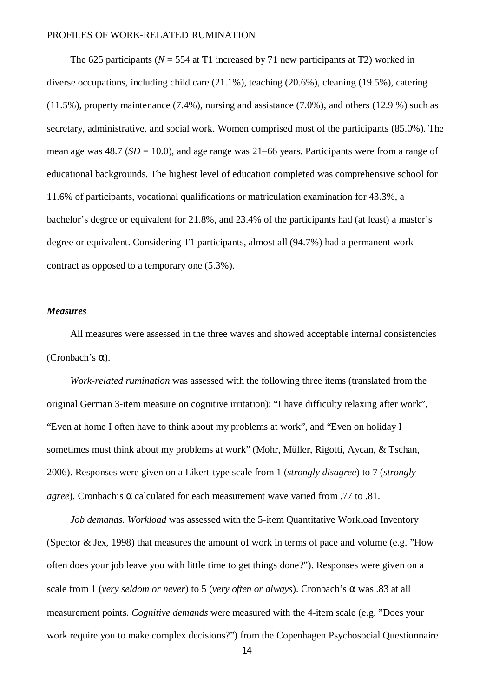The 625 participants ( $N = 554$  at T1 increased by 71 new participants at T2) worked in diverse occupations, including child care (21.1%), teaching (20.6%), cleaning (19.5%), catering (11.5%), property maintenance (7.4%), nursing and assistance (7.0%), and others (12.9 %) such as secretary, administrative, and social work. Women comprised most of the participants (85.0%). The mean age was  $48.7$  ( $SD = 10.0$ ), and age range was  $21-66$  years. Participants were from a range of educational backgrounds. The highest level of education completed was comprehensive school for 11.6% of participants, vocational qualifications or matriculation examination for 43.3%, a bachelor's degree or equivalent for 21.8%, and 23.4% of the participants had (at least) a master's degree or equivalent. Considering T1 participants, almost all (94.7%) had a permanent work contract as opposed to a temporary one (5.3%).

# *Measures*

All measures were assessed in the three waves and showed acceptable internal consistencies  $(Chobach's a)$ .

*Work-related rumination* was assessed with the following three items (translated from the original German 3-item measure on cognitive irritation): "I have difficulty relaxing after work", "Even at home I often have to think about my problems at work", and "Even on holiday I sometimes must think about my problems at work" (Mohr, Müller, Rigotti, Aycan, & Tschan, 2006). Responses were given on a Likert-type scale from 1 (*strongly disagree*) to 7 (*strongly agree*). Cronbach's a calculated for each measurement wave varied from .77 to .81.

*Job demands. Workload* was assessed with the 5-item Quantitative Workload Inventory (Spector & Jex, 1998) that measures the amount of work in terms of pace and volume (e.g. "How often does your job leave you with little time to get things done?"). Responses were given on a scale from 1 (*very seldom or never*) to 5 (*very often or always*). Cronbach's a was .83 at all measurement points. *Cognitive demands* were measured with the 4-item scale (e.g. "Does your work require you to make complex decisions?") from the Copenhagen Psychosocial Questionnaire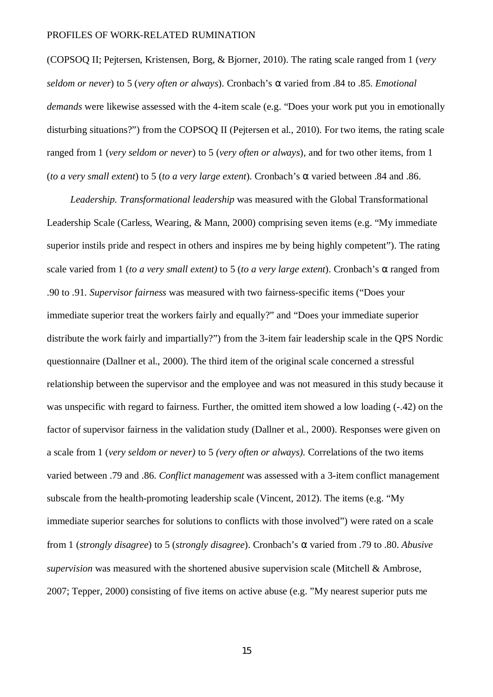(COPSOQ II; Pejtersen, Kristensen, Borg, & Bjorner, 2010). The rating scale ranged from 1 (*very seldom or never*) to 5 (*very often or always*). Cronbach's a varied from .84 to .85. *Emotional demands* were likewise assessed with the 4-item scale (e.g. "Does your work put you in emotionally disturbing situations?") from the COPSOQ II (Pejtersen et al., 2010). For two items, the rating scale ranged from 1 (*very seldom or never*) to 5 (*very often or always*), and for two other items, from 1 (*to a very small extent*) to 5 (*to a very large extent*). Cronbach's a varied between .84 and .86.

*Leadership. Transformational leadership* was measured with the Global Transformational Leadership Scale (Carless, Wearing, & Mann, 2000) comprising seven items (e.g. "My immediate superior instils pride and respect in others and inspires me by being highly competent"). The rating scale varied from 1 (*to a very small extent*) to 5 (*to a very large extent*). Cronbach's a ranged from .90 to .91. *Supervisor fairness* was measured with two fairness-specific items ("Does your immediate superior treat the workers fairly and equally?" and "Does your immediate superior distribute the work fairly and impartially?") from the 3-item fair leadership scale in the QPS Nordic questionnaire (Dallner et al., 2000). The third item of the original scale concerned a stressful relationship between the supervisor and the employee and was not measured in this study because it was unspecific with regard to fairness. Further, the omitted item showed a low loading (-.42) on the factor of supervisor fairness in the validation study (Dallner et al., 2000). Responses were given on a scale from 1 (*very seldom or never)* to 5 *(very often or always).* Correlations of the two items varied between .79 and .86. *Conflict management* was assessed with a 3-item conflict management subscale from the health-promoting leadership scale (Vincent, 2012). The items (e.g. "My immediate superior searches for solutions to conflicts with those involved") were rated on a scale from 1 (*strongly disagree*) to 5 (*strongly disagree*). Cronbach's a varied from .79 to .80. *Abusive supervision* was measured with the shortened abusive supervision scale (Mitchell & Ambrose, 2007; Tepper, 2000) consisting of five items on active abuse (e.g. "My nearest superior puts me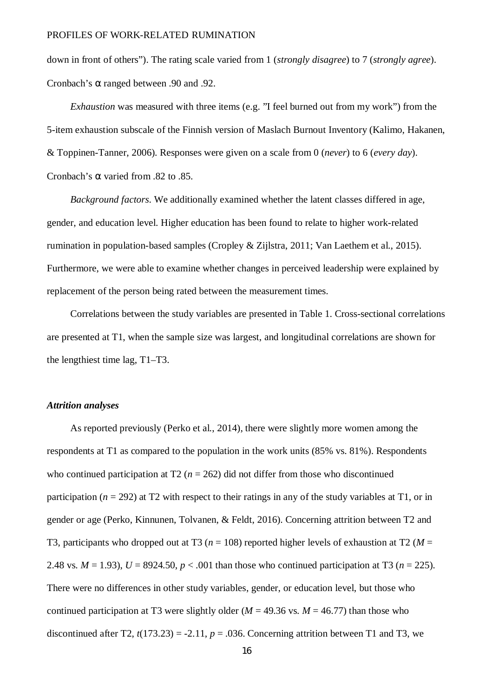down in front of others"). The rating scale varied from 1 (*strongly disagree*) to 7 (*strongly agree*). Cronbach's a ranged between .90 and .92.

*Exhaustion* was measured with three items (e.g. "I feel burned out from my work") from the 5-item exhaustion subscale of the Finnish version of Maslach Burnout Inventory (Kalimo, Hakanen, & Toppinen-Tanner, 2006). Responses were given on a scale from 0 (*never*) to 6 (*every day*). Cronbach's a varied from .82 to .85.

*Background factors*. We additionally examined whether the latent classes differed in age, gender, and education level. Higher education has been found to relate to higher work-related rumination in population-based samples (Cropley & Zijlstra, 2011; Van Laethem et al., 2015). Furthermore, we were able to examine whether changes in perceived leadership were explained by replacement of the person being rated between the measurement times.

Correlations between the study variables are presented in Table 1. Cross-sectional correlations are presented at T1, when the sample size was largest, and longitudinal correlations are shown for the lengthiest time lag, T1–T3.

# *Attrition analyses*

As reported previously (Perko et al., 2014), there were slightly more women among the respondents at T1 as compared to the population in the work units (85% vs. 81%). Respondents who continued participation at  $T2$  ( $n = 262$ ) did not differ from those who discontinued participation ( $n = 292$ ) at T2 with respect to their ratings in any of the study variables at T1, or in gender or age (Perko, Kinnunen, Tolvanen, & Feldt, 2016). Concerning attrition between T2 and T3, participants who dropped out at T3 ( $n = 108$ ) reported higher levels of exhaustion at T2 ( $M =$ 2.48 vs.  $M = 1.93$ ),  $U = 8924.50$ ,  $p < .001$  than those who continued participation at T3 ( $n = 225$ ). There were no differences in other study variables, gender, or education level, but those who continued participation at T3 were slightly older ( $M = 49.36$  vs.  $M = 46.77$ ) than those who discontinued after T2,  $t(173.23) = -2.11$ ,  $p = .036$ . Concerning attrition between T1 and T3, we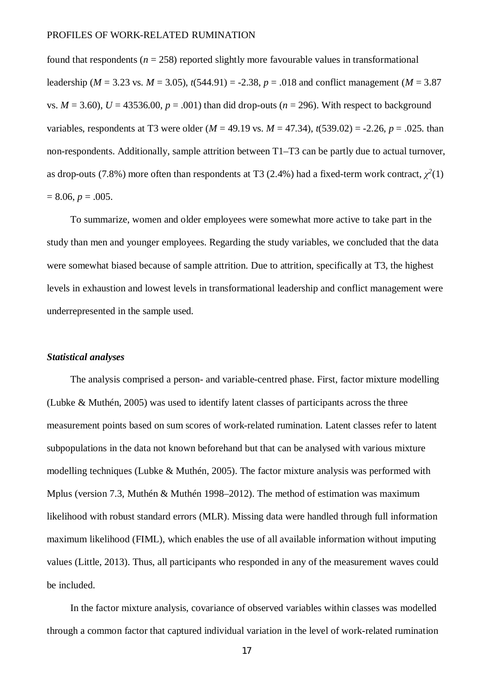found that respondents ( $n = 258$ ) reported slightly more favourable values in transformational leadership (*M* = 3.23 vs. *M* = 3.05), *t*(544.91) = -2.38, *p* = .018 and conflict management (*M* = 3.87 vs.  $M = 3.60$ ),  $U = 43536.00$ ,  $p = .001$ ) than did drop-outs ( $n = 296$ ). With respect to background variables, respondents at T3 were older  $(M = 49.19 \text{ vs. } M = 47.34)$ ,  $t(539.02) = -2.26$ ,  $p = .025$ . than non-respondents. Additionally, sample attrition between T1–T3 can be partly due to actual turnover, as drop-outs (7.8%) more often than respondents at T3 (2.4%) had a fixed-term work contract,  $\chi^2(1)$  $= 8.06, p = .005.$ 

To summarize, women and older employees were somewhat more active to take part in the study than men and younger employees. Regarding the study variables, we concluded that the data were somewhat biased because of sample attrition. Due to attrition, specifically at T3, the highest levels in exhaustion and lowest levels in transformational leadership and conflict management were underrepresented in the sample used.

#### *Statistical analyses*

The analysis comprised a person- and variable-centred phase. First, factor mixture modelling (Lubke & Muthén, 2005) was used to identify latent classes of participants across the three measurement points based on sum scores of work-related rumination. Latent classes refer to latent subpopulations in the data not known beforehand but that can be analysed with various mixture modelling techniques (Lubke & Muthén, 2005). The factor mixture analysis was performed with Mplus (version 7.3, Muthén & Muthén 1998–2012). The method of estimation was maximum likelihood with robust standard errors (MLR). Missing data were handled through full information maximum likelihood (FIML), which enables the use of all available information without imputing values (Little, 2013). Thus, all participants who responded in any of the measurement waves could be included.

In the factor mixture analysis, covariance of observed variables within classes was modelled through a common factor that captured individual variation in the level of work-related rumination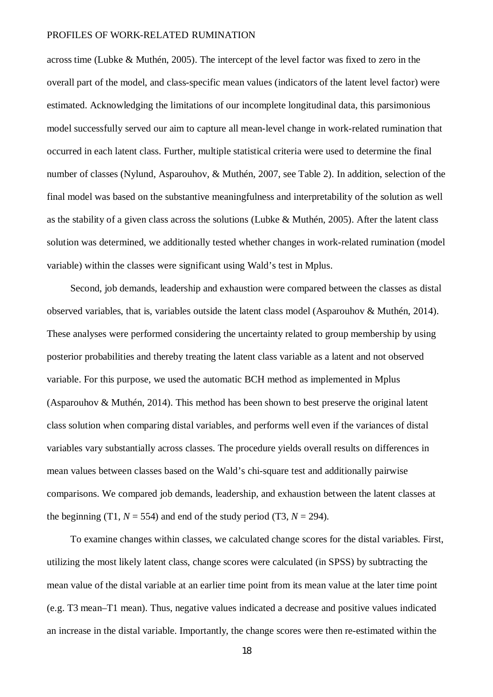across time (Lubke & Muthén, 2005). The intercept of the level factor was fixed to zero in the overall part of the model, and class-specific mean values (indicators of the latent level factor) were estimated. Acknowledging the limitations of our incomplete longitudinal data, this parsimonious model successfully served our aim to capture all mean-level change in work-related rumination that occurred in each latent class. Further, multiple statistical criteria were used to determine the final number of classes (Nylund, Asparouhov, & Muthén, 2007, see Table 2). In addition, selection of the final model was based on the substantive meaningfulness and interpretability of the solution as well as the stability of a given class across the solutions (Lubke & Muthén, 2005). After the latent class solution was determined, we additionally tested whether changes in work-related rumination (model variable) within the classes were significant using Wald's test in Mplus.

Second, job demands, leadership and exhaustion were compared between the classes as distal observed variables, that is, variables outside the latent class model (Asparouhov & Muthén, 2014). These analyses were performed considering the uncertainty related to group membership by using posterior probabilities and thereby treating the latent class variable as a latent and not observed variable. For this purpose, we used the automatic BCH method as implemented in Mplus (Asparouhov & Muthén, 2014). This method has been shown to best preserve the original latent class solution when comparing distal variables, and performs well even if the variances of distal variables vary substantially across classes. The procedure yields overall results on differences in mean values between classes based on the Wald's chi-square test and additionally pairwise comparisons. We compared job demands, leadership, and exhaustion between the latent classes at the beginning (T1,  $N = 554$ ) and end of the study period (T3,  $N = 294$ ).

To examine changes within classes, we calculated change scores for the distal variables. First, utilizing the most likely latent class, change scores were calculated (in SPSS) by subtracting the mean value of the distal variable at an earlier time point from its mean value at the later time point (e.g. T3 mean–T1 mean). Thus, negative values indicated a decrease and positive values indicated an increase in the distal variable. Importantly, the change scores were then re-estimated within the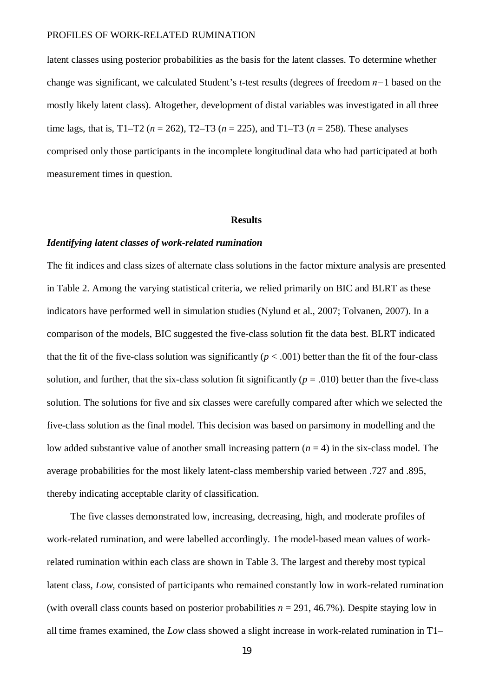latent classes using posterior probabilities as the basis for the latent classes. To determine whether change was significant, we calculated Student's *t*-test results (degrees of freedom *n−*1 based on the mostly likely latent class). Altogether, development of distal variables was investigated in all three time lags, that is,  $T1-T2$  ( $n = 262$ ),  $T2-T3$  ( $n = 225$ ), and  $T1-T3$  ( $n = 258$ ). These analyses comprised only those participants in the incomplete longitudinal data who had participated at both measurement times in question.

#### **Results**

# *Identifying latent classes of work-related rumination*

The fit indices and class sizes of alternate class solutions in the factor mixture analysis are presented in Table 2. Among the varying statistical criteria, we relied primarily on BIC and BLRT as these indicators have performed well in simulation studies (Nylund et al., 2007; Tolvanen, 2007). In a comparison of the models, BIC suggested the five-class solution fit the data best. BLRT indicated that the fit of the five-class solution was significantly  $(p < .001)$  better than the fit of the four-class solution, and further, that the six-class solution fit significantly ( $p = .010$ ) better than the five-class solution. The solutions for five and six classes were carefully compared after which we selected the five-class solution as the final model. This decision was based on parsimony in modelling and the low added substantive value of another small increasing pattern  $(n = 4)$  in the six-class model. The average probabilities for the most likely latent-class membership varied between .727 and .895, thereby indicating acceptable clarity of classification.

The five classes demonstrated low, increasing, decreasing, high, and moderate profiles of work-related rumination, and were labelled accordingly. The model-based mean values of workrelated rumination within each class are shown in Table 3. The largest and thereby most typical latent class, *Low,* consisted of participants who remained constantly low in work-related rumination (with overall class counts based on posterior probabilities *n* = 291, 46.7%). Despite staying low in all time frames examined, the *Low* class showed a slight increase in work-related rumination in T1–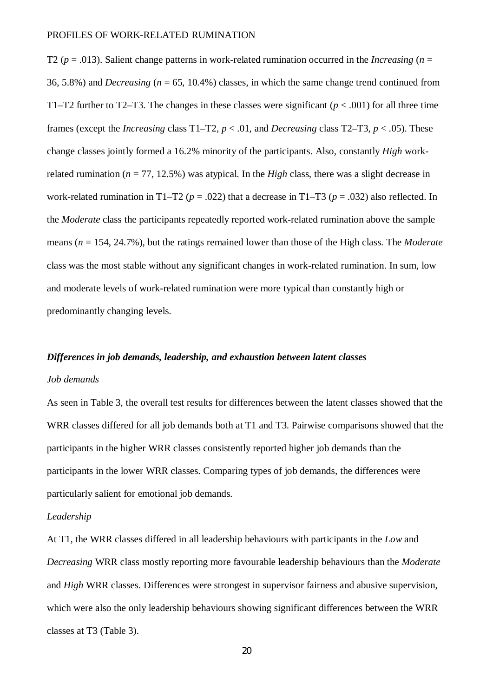T2 ( $p = .013$ ). Salient change patterns in work-related rumination occurred in the *Increasing* ( $n =$ 36, 5.8%) and *Decreasing* (*n* = 65, 10.4%) classes, in which the same change trend continued from T1–T2 further to T2–T3. The changes in these classes were significant ( $p < .001$ ) for all three time frames (except the *Increasing* class  $T1-T2$ ,  $p < .01$ , and *Decreasing* class  $T2-T3$ ,  $p < .05$ ). These change classes jointly formed a 16.2% minority of the participants. Also, constantly *High* workrelated rumination ( $n = 77$ , 12.5%) was atypical. In the *High* class, there was a slight decrease in work-related rumination in T1–T2 ( $p = .022$ ) that a decrease in T1–T3 ( $p = .032$ ) also reflected. In the *Moderate* class the participants repeatedly reported work-related rumination above the sample means (*n* = 154, 24.7%), but the ratings remained lower than those of the High class. The *Moderate* class was the most stable without any significant changes in work-related rumination. In sum, low and moderate levels of work-related rumination were more typical than constantly high or predominantly changing levels.

# *Differences in job demands, leadership, and exhaustion between latent classes*

# *Job demands*

As seen in Table 3, the overall test results for differences between the latent classes showed that the WRR classes differed for all job demands both at T1 and T3. Pairwise comparisons showed that the participants in the higher WRR classes consistently reported higher job demands than the participants in the lower WRR classes. Comparing types of job demands, the differences were particularly salient for emotional job demands.

# *Leadership*

At T1, the WRR classes differed in all leadership behaviours with participants in the *Low* and *Decreasing* WRR class mostly reporting more favourable leadership behaviours than the *Moderate* and *High* WRR classes. Differences were strongest in supervisor fairness and abusive supervision, which were also the only leadership behaviours showing significant differences between the WRR classes at T3 (Table 3).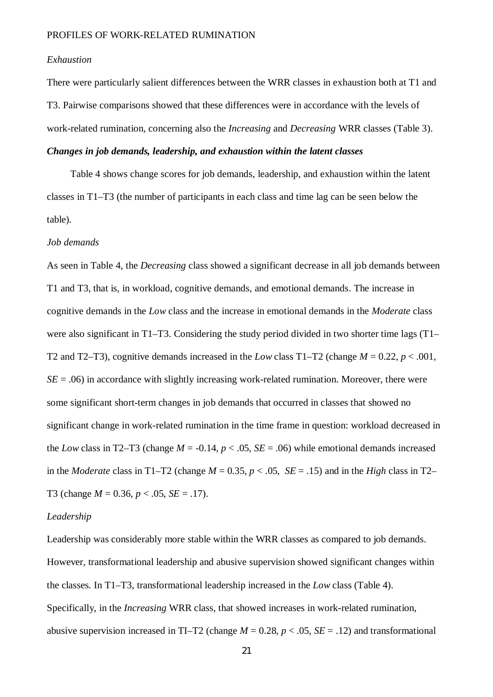# *Exhaustion*

There were particularly salient differences between the WRR classes in exhaustion both at T1 and T3. Pairwise comparisons showed that these differences were in accordance with the levels of work-related rumination, concerning also the *Increasing* and *Decreasing* WRR classes (Table 3).

# *Changes in job demands, leadership, and exhaustion within the latent classes*

Table 4 shows change scores for job demands, leadership, and exhaustion within the latent classes in T1–T3 (the number of participants in each class and time lag can be seen below the table).

# *Job demands*

As seen in Table 4, the *Decreasing* class showed a significant decrease in all job demands between T1 and T3, that is, in workload, cognitive demands, and emotional demands. The increase in cognitive demands in the *Low* class and the increase in emotional demands in the *Moderate* class were also significant in T1–T3. Considering the study period divided in two shorter time lags (T1– T2 and T2–T3), cognitive demands increased in the *Low* class T1–T2 (change  $M = 0.22$ ,  $p < .001$ ,  $SE = .06$ ) in accordance with slightly increasing work-related rumination. Moreover, there were some significant short-term changes in job demands that occurred in classes that showed no significant change in work-related rumination in the time frame in question: workload decreased in the *Low* class in T2–T3 (change  $M = -0.14$ ,  $p < .05$ ,  $SE = .06$ ) while emotional demands increased in the *Moderate* class in T1–T2 (change  $M = 0.35$ ,  $p < .05$ ,  $SE = .15$ ) and in the *High* class in T2– T3 (change *M* = 0.36, *p* < .05, *SE* = .17).

#### *Leadership*

Leadership was considerably more stable within the WRR classes as compared to job demands. However, transformational leadership and abusive supervision showed significant changes within the classes*.* In T1–T3, transformational leadership increased in the *Low* class (Table 4). Specifically, in the *Increasing* WRR class, that showed increases in work-related rumination, abusive supervision increased in TI–T2 (change  $M = 0.28$ ,  $p < .05$ ,  $SE = .12$ ) and transformational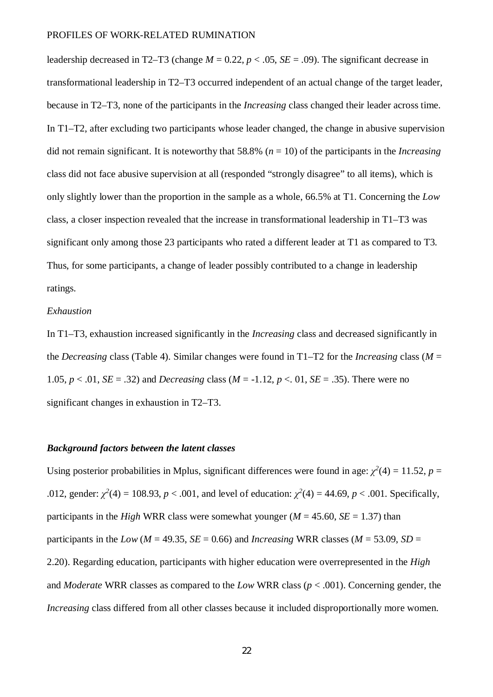leadership decreased in T2–T3 (change  $M = 0.22$ ,  $p < .05$ ,  $SE = .09$ ). The significant decrease in transformational leadership in T2–T3 occurred independent of an actual change of the target leader, because in T2–T3, none of the participants in the *Increasing* class changed their leader across time. In T1–T2, after excluding two participants whose leader changed, the change in abusive supervision did not remain significant. It is noteworthy that 58.8% (*n* = 10) of the participants in the *Increasing* class did not face abusive supervision at all (responded "strongly disagree" to all items), which is only slightly lower than the proportion in the sample as a whole, 66.5% at T1. Concerning the *Low* class, a closer inspection revealed that the increase in transformational leadership in T1–T3 was significant only among those 23 participants who rated a different leader at T1 as compared to T3. Thus, for some participants, a change of leader possibly contributed to a change in leadership ratings.

#### *Exhaustion*

In T1–T3, exhaustion increased significantly in the *Increasing* class and decreased significantly in the *Decreasing* class (Table 4). Similar changes were found in T1–T2 for the *Increasing* class ( $M =$ 1.05,  $p < .01$ ,  $SE = .32$ ) and *Decreasing* class ( $M = -1.12$ ,  $p < .01$ ,  $SE = .35$ ). There were no significant changes in exhaustion in T2–T3.

# *Background factors between the latent classes*

Using posterior probabilities in Mplus, significant differences were found in age:  $\chi^2(4) = 11.52$ ,  $p =$ .012, gender:  $\chi^2(4) = 108.93$ ,  $p < .001$ , and level of education:  $\chi^2(4) = 44.69$ ,  $p < .001$ . Specifically, participants in the *High* WRR class were somewhat younger ( $M = 45.60$ ,  $SE = 1.37$ ) than participants in the *Low* ( $M = 49.35$ ,  $SE = 0.66$ ) and *Increasing* WRR classes ( $M = 53.09$ ,  $SD =$ 2.20). Regarding education, participants with higher education were overrepresented in the *High* and *Moderate* WRR classes as compared to the *Low* WRR class (*p* < .001). Concerning gender, the *Increasing* class differed from all other classes because it included disproportionally more women.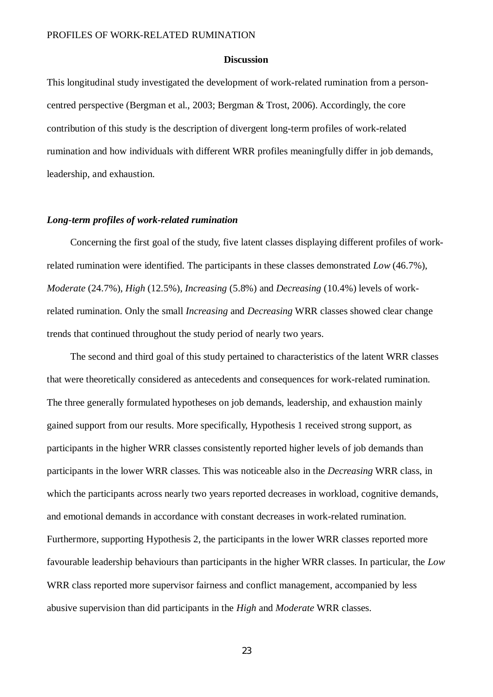# **Discussion**

This longitudinal study investigated the development of work-related rumination from a personcentred perspective (Bergman et al., 2003; Bergman & Trost, 2006). Accordingly, the core contribution of this study is the description of divergent long-term profiles of work-related rumination and how individuals with different WRR profiles meaningfully differ in job demands, leadership, and exhaustion.

#### *Long-term profiles of work-related rumination*

Concerning the first goal of the study, five latent classes displaying different profiles of workrelated rumination were identified. The participants in these classes demonstrated *Low* (46.7%), *Moderate* (24.7%), *High* (12.5%), *Increasing* (5.8%) and *Decreasing* (10.4%) levels of workrelated rumination. Only the small *Increasing* and *Decreasing* WRR classes showed clear change trends that continued throughout the study period of nearly two years.

The second and third goal of this study pertained to characteristics of the latent WRR classes that were theoretically considered as antecedents and consequences for work-related rumination. The three generally formulated hypotheses on job demands, leadership, and exhaustion mainly gained support from our results. More specifically, Hypothesis 1 received strong support, as participants in the higher WRR classes consistently reported higher levels of job demands than participants in the lower WRR classes. This was noticeable also in the *Decreasing* WRR class, in which the participants across nearly two years reported decreases in workload, cognitive demands, and emotional demands in accordance with constant decreases in work-related rumination. Furthermore, supporting Hypothesis 2, the participants in the lower WRR classes reported more favourable leadership behaviours than participants in the higher WRR classes. In particular, the *Low* WRR class reported more supervisor fairness and conflict management, accompanied by less abusive supervision than did participants in the *High* and *Moderate* WRR classes.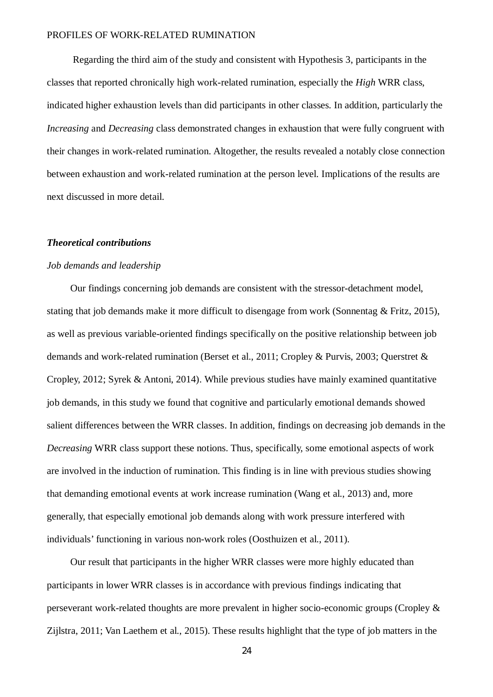Regarding the third aim of the study and consistent with Hypothesis 3, participants in the classes that reported chronically high work-related rumination, especially the *High* WRR class, indicated higher exhaustion levels than did participants in other classes. In addition, particularly the *Increasing* and *Decreasing* class demonstrated changes in exhaustion that were fully congruent with their changes in work-related rumination. Altogether, the results revealed a notably close connection between exhaustion and work-related rumination at the person level. Implications of the results are next discussed in more detail.

#### *Theoretical contributions*

#### *Job demands and leadership*

Our findings concerning job demands are consistent with the stressor-detachment model, stating that job demands make it more difficult to disengage from work (Sonnentag & Fritz, 2015), as well as previous variable-oriented findings specifically on the positive relationship between job demands and work-related rumination (Berset et al., 2011; Cropley & Purvis, 2003; Querstret & Cropley, 2012; Syrek & Antoni, 2014). While previous studies have mainly examined quantitative job demands, in this study we found that cognitive and particularly emotional demands showed salient differences between the WRR classes. In addition, findings on decreasing job demands in the *Decreasing* WRR class support these notions. Thus, specifically, some emotional aspects of work are involved in the induction of rumination. This finding is in line with previous studies showing that demanding emotional events at work increase rumination (Wang et al., 2013) and, more generally, that especially emotional job demands along with work pressure interfered with individuals' functioning in various non-work roles (Oosthuizen et al., 2011).

Our result that participants in the higher WRR classes were more highly educated than participants in lower WRR classes is in accordance with previous findings indicating that perseverant work-related thoughts are more prevalent in higher socio-economic groups (Cropley & Zijlstra, 2011; Van Laethem et al., 2015). These results highlight that the type of job matters in the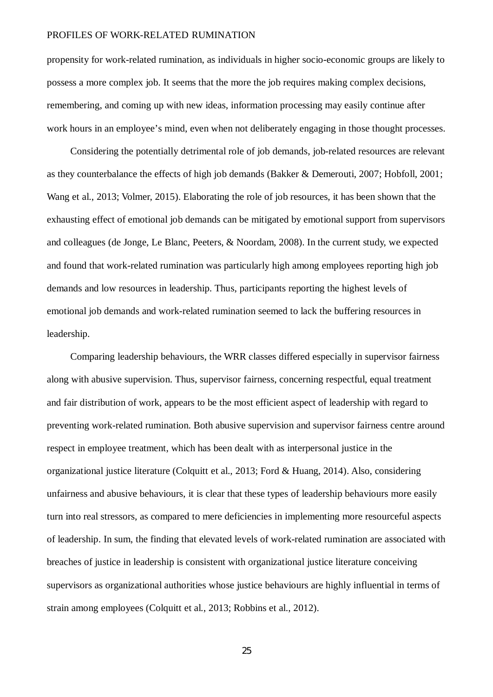propensity for work-related rumination, as individuals in higher socio-economic groups are likely to possess a more complex job. It seems that the more the job requires making complex decisions, remembering, and coming up with new ideas, information processing may easily continue after work hours in an employee's mind, even when not deliberately engaging in those thought processes.

Considering the potentially detrimental role of job demands, job-related resources are relevant as they counterbalance the effects of high job demands (Bakker & Demerouti, 2007; Hobfoll, 2001; Wang et al., 2013; Volmer, 2015). Elaborating the role of job resources, it has been shown that the exhausting effect of emotional job demands can be mitigated by emotional support from supervisors and colleagues (de Jonge, Le Blanc, Peeters, & Noordam, 2008). In the current study, we expected and found that work-related rumination was particularly high among employees reporting high job demands and low resources in leadership. Thus, participants reporting the highest levels of emotional job demands and work-related rumination seemed to lack the buffering resources in leadership.

Comparing leadership behaviours, the WRR classes differed especially in supervisor fairness along with abusive supervision. Thus, supervisor fairness, concerning respectful, equal treatment and fair distribution of work, appears to be the most efficient aspect of leadership with regard to preventing work-related rumination. Both abusive supervision and supervisor fairness centre around respect in employee treatment, which has been dealt with as interpersonal justice in the organizational justice literature (Colquitt et al., 2013; Ford & Huang, 2014). Also, considering unfairness and abusive behaviours, it is clear that these types of leadership behaviours more easily turn into real stressors, as compared to mere deficiencies in implementing more resourceful aspects of leadership. In sum, the finding that elevated levels of work-related rumination are associated with breaches of justice in leadership is consistent with organizational justice literature conceiving supervisors as organizational authorities whose justice behaviours are highly influential in terms of strain among employees (Colquitt et al., 2013; Robbins et al., 2012).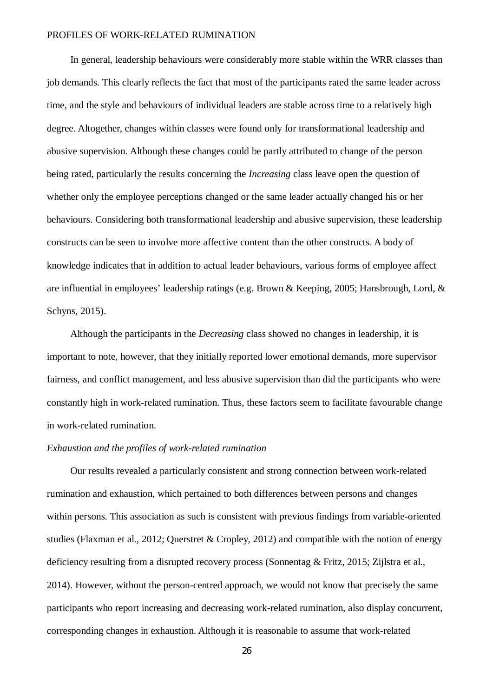In general, leadership behaviours were considerably more stable within the WRR classes than job demands. This clearly reflects the fact that most of the participants rated the same leader across time, and the style and behaviours of individual leaders are stable across time to a relatively high degree. Altogether, changes within classes were found only for transformational leadership and abusive supervision. Although these changes could be partly attributed to change of the person being rated, particularly the results concerning the *Increasing* class leave open the question of whether only the employee perceptions changed or the same leader actually changed his or her behaviours. Considering both transformational leadership and abusive supervision, these leadership constructs can be seen to involve more affective content than the other constructs. A body of knowledge indicates that in addition to actual leader behaviours, various forms of employee affect are influential in employees' leadership ratings (e.g. Brown & Keeping, 2005; Hansbrough, Lord, & Schyns, 2015).

Although the participants in the *Decreasing* class showed no changes in leadership, it is important to note, however, that they initially reported lower emotional demands, more supervisor fairness, and conflict management, and less abusive supervision than did the participants who were constantly high in work-related rumination. Thus, these factors seem to facilitate favourable change in work-related rumination.

# *Exhaustion and the profiles of work-related rumination*

Our results revealed a particularly consistent and strong connection between work-related rumination and exhaustion, which pertained to both differences between persons and changes within persons. This association as such is consistent with previous findings from variable-oriented studies (Flaxman et al., 2012; Querstret & Cropley, 2012) and compatible with the notion of energy deficiency resulting from a disrupted recovery process (Sonnentag & Fritz, 2015; Zijlstra et al., 2014). However, without the person-centred approach, we would not know that precisely the same participants who report increasing and decreasing work-related rumination, also display concurrent, corresponding changes in exhaustion. Although it is reasonable to assume that work-related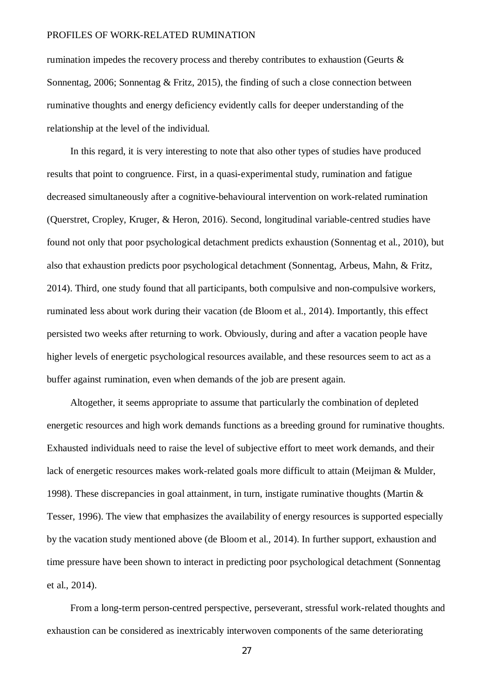rumination impedes the recovery process and thereby contributes to exhaustion (Geurts & Sonnentag, 2006; Sonnentag & Fritz, 2015), the finding of such a close connection between ruminative thoughts and energy deficiency evidently calls for deeper understanding of the relationship at the level of the individual.

In this regard, it is very interesting to note that also other types of studies have produced results that point to congruence. First, in a quasi-experimental study, rumination and fatigue decreased simultaneously after a cognitive-behavioural intervention on work-related rumination (Querstret, Cropley, Kruger, & Heron, 2016). Second, longitudinal variable-centred studies have found not only that poor psychological detachment predicts exhaustion (Sonnentag et al., 2010), but also that exhaustion predicts poor psychological detachment (Sonnentag, Arbeus, Mahn, & Fritz, 2014). Third, one study found that all participants, both compulsive and non-compulsive workers, ruminated less about work during their vacation (de Bloom et al., 2014). Importantly, this effect persisted two weeks after returning to work. Obviously, during and after a vacation people have higher levels of energetic psychological resources available, and these resources seem to act as a buffer against rumination, even when demands of the job are present again.

Altogether, it seems appropriate to assume that particularly the combination of depleted energetic resources and high work demands functions as a breeding ground for ruminative thoughts. Exhausted individuals need to raise the level of subjective effort to meet work demands, and their lack of energetic resources makes work-related goals more difficult to attain (Meijman & Mulder, 1998). These discrepancies in goal attainment, in turn, instigate ruminative thoughts (Martin & Tesser, 1996). The view that emphasizes the availability of energy resources is supported especially by the vacation study mentioned above (de Bloom et al., 2014). In further support, exhaustion and time pressure have been shown to interact in predicting poor psychological detachment (Sonnentag et al., 2014).

From a long-term person-centred perspective, perseverant, stressful work-related thoughts and exhaustion can be considered as inextricably interwoven components of the same deteriorating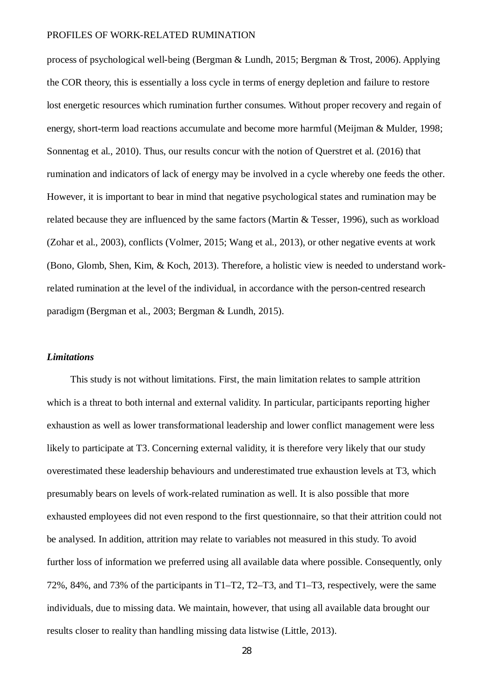process of psychological well-being (Bergman & Lundh, 2015; Bergman & Trost, 2006). Applying the COR theory, this is essentially a loss cycle in terms of energy depletion and failure to restore lost energetic resources which rumination further consumes. Without proper recovery and regain of energy, short-term load reactions accumulate and become more harmful (Meijman & Mulder, 1998; Sonnentag et al., 2010). Thus, our results concur with the notion of Querstret et al. (2016) that rumination and indicators of lack of energy may be involved in a cycle whereby one feeds the other. However, it is important to bear in mind that negative psychological states and rumination may be related because they are influenced by the same factors (Martin & Tesser, 1996), such as workload (Zohar et al., 2003), conflicts (Volmer, 2015; Wang et al., 2013), or other negative events at work (Bono, Glomb, Shen, Kim, & Koch, 2013). Therefore, a holistic view is needed to understand workrelated rumination at the level of the individual, in accordance with the person-centred research paradigm (Bergman et al., 2003; Bergman & Lundh, 2015).

#### *Limitations*

This study is not without limitations. First, the main limitation relates to sample attrition which is a threat to both internal and external validity. In particular, participants reporting higher exhaustion as well as lower transformational leadership and lower conflict management were less likely to participate at T3. Concerning external validity, it is therefore very likely that our study overestimated these leadership behaviours and underestimated true exhaustion levels at T3, which presumably bears on levels of work-related rumination as well. It is also possible that more exhausted employees did not even respond to the first questionnaire, so that their attrition could not be analysed. In addition, attrition may relate to variables not measured in this study. To avoid further loss of information we preferred using all available data where possible. Consequently, only 72%, 84%, and 73% of the participants in T1–T2, T2–T3, and T1–T3, respectively, were the same individuals, due to missing data. We maintain, however, that using all available data brought our results closer to reality than handling missing data listwise (Little, 2013).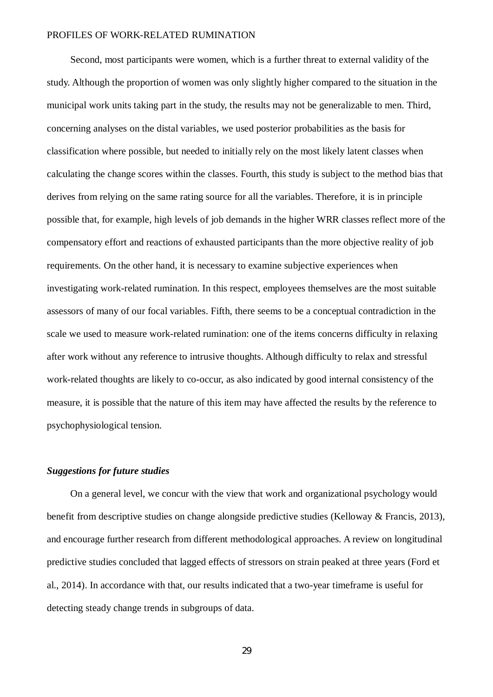Second, most participants were women, which is a further threat to external validity of the study. Although the proportion of women was only slightly higher compared to the situation in the municipal work units taking part in the study, the results may not be generalizable to men. Third, concerning analyses on the distal variables, we used posterior probabilities as the basis for classification where possible, but needed to initially rely on the most likely latent classes when calculating the change scores within the classes. Fourth, this study is subject to the method bias that derives from relying on the same rating source for all the variables. Therefore, it is in principle possible that, for example, high levels of job demands in the higher WRR classes reflect more of the compensatory effort and reactions of exhausted participants than the more objective reality of job requirements. On the other hand, it is necessary to examine subjective experiences when investigating work-related rumination. In this respect, employees themselves are the most suitable assessors of many of our focal variables. Fifth, there seems to be a conceptual contradiction in the scale we used to measure work-related rumination: one of the items concerns difficulty in relaxing after work without any reference to intrusive thoughts. Although difficulty to relax and stressful work-related thoughts are likely to co-occur, as also indicated by good internal consistency of the measure, it is possible that the nature of this item may have affected the results by the reference to psychophysiological tension.

# *Suggestions for future studies*

On a general level, we concur with the view that work and organizational psychology would benefit from descriptive studies on change alongside predictive studies (Kelloway & Francis, 2013), and encourage further research from different methodological approaches. A review on longitudinal predictive studies concluded that lagged effects of stressors on strain peaked at three years (Ford et al., 2014). In accordance with that, our results indicated that a two-year timeframe is useful for detecting steady change trends in subgroups of data.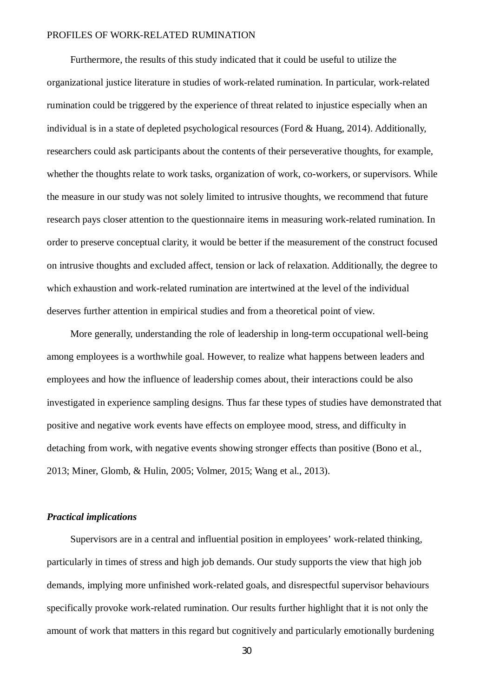Furthermore, the results of this study indicated that it could be useful to utilize the organizational justice literature in studies of work-related rumination. In particular, work-related rumination could be triggered by the experience of threat related to injustice especially when an individual is in a state of depleted psychological resources (Ford & Huang, 2014). Additionally, researchers could ask participants about the contents of their perseverative thoughts, for example, whether the thoughts relate to work tasks, organization of work, co-workers, or supervisors. While the measure in our study was not solely limited to intrusive thoughts, we recommend that future research pays closer attention to the questionnaire items in measuring work-related rumination. In order to preserve conceptual clarity, it would be better if the measurement of the construct focused on intrusive thoughts and excluded affect, tension or lack of relaxation. Additionally, the degree to which exhaustion and work-related rumination are intertwined at the level of the individual deserves further attention in empirical studies and from a theoretical point of view.

More generally, understanding the role of leadership in long-term occupational well-being among employees is a worthwhile goal. However, to realize what happens between leaders and employees and how the influence of leadership comes about, their interactions could be also investigated in experience sampling designs. Thus far these types of studies have demonstrated that positive and negative work events have effects on employee mood, stress, and difficulty in detaching from work, with negative events showing stronger effects than positive (Bono et al., 2013; Miner, Glomb, & Hulin, 2005; Volmer, 2015; Wang et al., 2013).

# *Practical implications*

Supervisors are in a central and influential position in employees' work-related thinking, particularly in times of stress and high job demands. Our study supports the view that high job demands, implying more unfinished work-related goals, and disrespectful supervisor behaviours specifically provoke work-related rumination. Our results further highlight that it is not only the amount of work that matters in this regard but cognitively and particularly emotionally burdening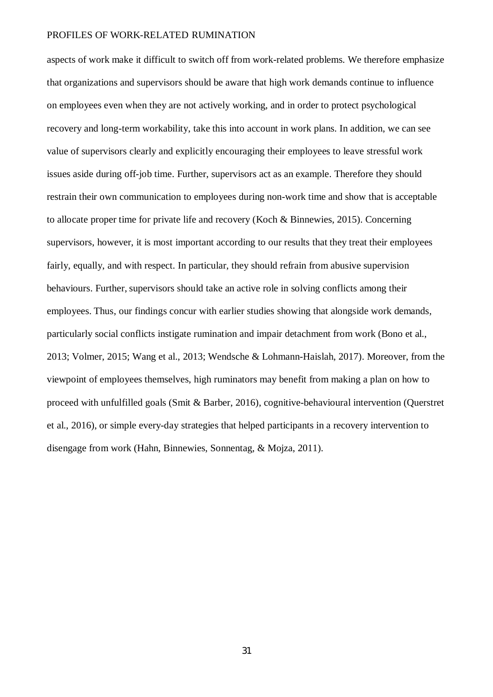aspects of work make it difficult to switch off from work-related problems. We therefore emphasize that organizations and supervisors should be aware that high work demands continue to influence on employees even when they are not actively working, and in order to protect psychological recovery and long-term workability, take this into account in work plans. In addition, we can see value of supervisors clearly and explicitly encouraging their employees to leave stressful work issues aside during off-job time. Further, supervisors act as an example. Therefore they should restrain their own communication to employees during non-work time and show that is acceptable to allocate proper time for private life and recovery (Koch & Binnewies, 2015). Concerning supervisors, however, it is most important according to our results that they treat their employees fairly, equally, and with respect. In particular, they should refrain from abusive supervision behaviours. Further, supervisors should take an active role in solving conflicts among their employees. Thus, our findings concur with earlier studies showing that alongside work demands, particularly social conflicts instigate rumination and impair detachment from work (Bono et al., 2013; Volmer, 2015; Wang et al., 2013; Wendsche & Lohmann-Haislah, 2017). Moreover, from the viewpoint of employees themselves, high ruminators may benefit from making a plan on how to proceed with unfulfilled goals (Smit & Barber, 2016), cognitive-behavioural intervention (Querstret et al., 2016), or simple every-day strategies that helped participants in a recovery intervention to disengage from work (Hahn, Binnewies, Sonnentag, & Mojza, 2011).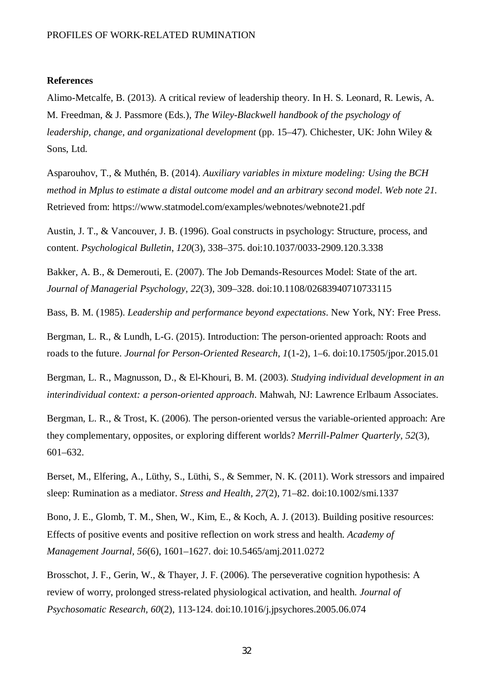#### **References**

Alimo-Metcalfe, B. (2013). A critical review of leadership theory. In H. S. Leonard, R. Lewis, A. M. Freedman, & J. Passmore (Eds.), *The Wiley-Blackwell handbook of the psychology of leadership, change, and organizational development* (pp. 15–47). Chichester, UK: John Wiley & Sons, Ltd.

Asparouhov, T., & Muthén, B. (2014). *Auxiliary variables in mixture modeling: Using the BCH method in Mplus to estimate a distal outcome model and an arbitrary second model*. *Web note 21*. Retrieved from: <https://www.statmodel.com/examples/webnotes/webnote21.pdf>

Austin, J. T., & Vancouver, J. B. (1996). Goal constructs in psychology: Structure, process, and content. *Psychological Bulletin*, *120*(3), 338–375. doi:10.1037/0033-2909.120.3.338

Bakker, A. B., & Demerouti, E. (2007). The Job Demands-Resources Model: State of the art. *Journal of Managerial Psychology, 22*(3), 309–328. doi:10.1108/02683940710733115

Bass, B. M. (1985). *Leadership and performance beyond expectations*. New York, NY: Free Press.

Bergman, L. R., & Lundh, L-G. (2015). Introduction: The person-oriented approach: Roots and roads to the future. *Journal for Person-Oriented Research, 1*(1-2), 1–6. doi:10.17505/jpor.2015.01

Bergman, L. R., Magnusson, D., & El-Khouri, B. M. (2003). *Studying individual development in an interindividual context: a person-oriented approach*. Mahwah, NJ: Lawrence Erlbaum Associates.

Bergman, L. R., & Trost, K. (2006). The person-oriented versus the variable-oriented approach: Are they complementary, opposites, or exploring different worlds? *Merrill-Palmer Quarterly, 52*(3), 601–632.

Berset, M., Elfering, A., Lüthy, S., Lüthi, S., & Semmer, N. K. (2011). Work stressors and impaired sleep: Rumination as a mediator. *Stress and Health, 27*(2), 71–82. doi:10.1002/smi.1337

Bono, J. E., Glomb, T. M., Shen, W., Kim, E., & Koch, A. J. (2013). Building positive resources: Effects of positive events and positive reflection on work stress and health. *Academy of Management Journal, 56*(6), 1601–1627. doi:10.5465/amj.2011.0272

Brosschot, J. F., Gerin, W., & Thayer, J. F. (2006). The perseverative cognition hypothesis: A review of worry, prolonged stress-related physiological activation, and health. *Journal of Psychosomatic Research, 60*(2), 113-124. doi:10.1016/j.jpsychores.2005.06.074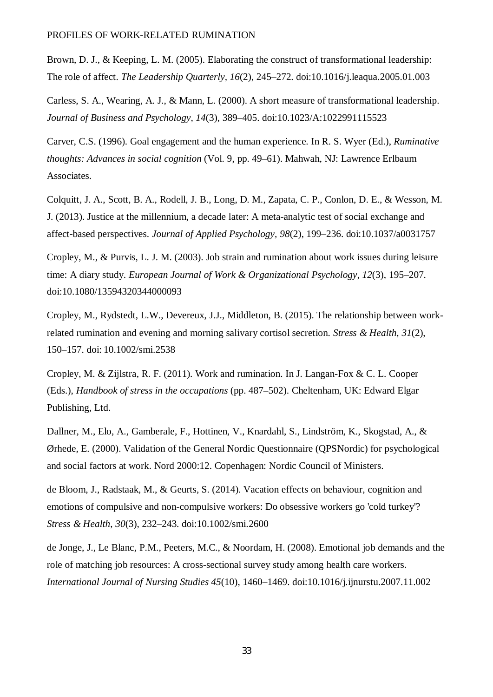Brown, D. J., & Keeping, L. M. (2005). Elaborating the construct of transformational leadership: The role of affect. *The Leadership Quarterly, 16*(2), 245–272. doi:10.1016/j.leaqua.2005.01.003

Carless, S. A., Wearing, A. J., & Mann, L. (2000). A short measure of transformational leadership. *Journal of Business and Psychology, 14*(3), 389–405. doi:10.1023/A:1022991115523

Carver, C.S. (1996). Goal engagement and the human experience. In R. S. Wyer (Ed.), *Ruminative thoughts: Advances in social cognition* (Vol. 9, pp. 49–61). Mahwah, NJ: Lawrence Erlbaum Associates.

Colquitt, J. A., Scott, B. A., Rodell, J. B., Long, D. M., Zapata, C. P., Conlon, D. E., & Wesson, M. J. (2013). Justice at the millennium, a decade later: A meta-analytic test of social exchange and affect-based perspectives. *Journal of Applied Psychology, 98*(2), 199–236. doi:10.1037/a0031757

Cropley, M., & Purvis, L. J. M. (2003). Job strain and rumination about work issues during leisure time: A diary study. *European Journal of Work & Organizational Psychology, 12*(3), 195–207. doi:10.1080/13594320344000093

Cropley, M., Rydstedt, L.W., Devereux, J.J., Middleton, B. (2015). The relationship between workrelated rumination and evening and morning salivary cortisol secretion. *Stress & Health, 31*(2), 150–157. doi: 10.1002/smi.2538

Cropley, M. & Zijlstra, R. F. (2011). Work and rumination. In J. Langan-Fox & C. L. Cooper (Eds.), *Handbook of stress in the occupations* (pp. 487–502). Cheltenham, UK: Edward Elgar Publishing, Ltd.

Dallner, M., Elo, A., Gamberale, F., Hottinen, V., Knardahl, S., Lindström, K., Skogstad, A., & Ørhede, E. (2000). Validation of the General Nordic Questionnaire (QPSNordic) for psychological and social factors at work. Nord 2000:12. Copenhagen: Nordic Council of Ministers.

de Bloom, J., Radstaak, M., & Geurts, S. (2014). Vacation effects on behaviour, cognition and emotions of compulsive and non-compulsive workers: Do obsessive workers go 'cold turkey'? *Stress & Health*, *30*(3), 232–243. doi:10.1002/smi.2600

de Jonge, J., Le Blanc, P.M., Peeters, M.C., & Noordam, H. (2008). Emotional job demands and the role of matching job resources: A cross-sectional survey study among health care workers. *International Journal of Nursing Studies 45*(10), 1460–1469. doi:10.1016/j.ijnurstu.2007.11.002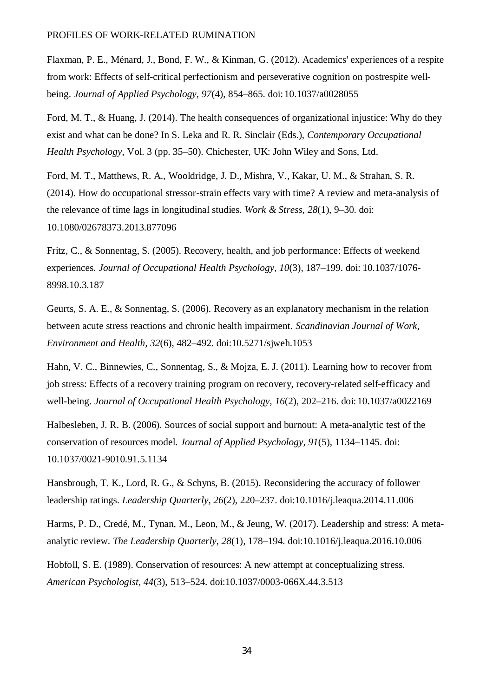Flaxman, P. E., Ménard, J., Bond, F. W., & Kinman, G. (2012). Academics' experiences of a respite from work: Effects of self-critical perfectionism and perseverative cognition on postrespite wellbeing. *Journal of Applied Psychology, 97*(4), 854–865. doi:10.1037/a0028055

Ford, M. T., & Huang, J. (2014). The health consequences of organizational injustice: Why do they exist and what can be done? In S. Leka and R. R. Sinclair (Eds.), *Contemporary Occupational Health Psychology*, Vol. 3 (pp. 35–50). Chichester, UK: John Wiley and Sons, Ltd.

Ford, M. T., Matthews, R. A., Wooldridge, J. D., Mishra, V., Kakar, U. M., & Strahan, S. R. (2014). How do occupational stressor-strain effects vary with time? A review and meta-analysis of the relevance of time lags in longitudinal studies. *Work & Stress, 28*(1), 9–30. doi: 10.1080/02678373.2013.877096

Fritz, C., & Sonnentag, S. (2005). Recovery, health, and job performance: Effects of weekend experiences. *Journal of Occupational Health Psychology, 10*(3), 187–199. doi: 10.1037/1076- 8998.10.3.187

Geurts, S. A. E., & Sonnentag, S. (2006). Recovery as an explanatory mechanism in the relation between acute stress reactions and chronic health impairment. *Scandinavian Journal of Work, Environment and Health, 32*(6), 482–492. doi:10.5271/sjweh.1053

Hahn, V. C., Binnewies, C., Sonnentag, S., & Mojza, E. J. (2011). Learning how to recover from job stress: Effects of a recovery training program on recovery, recovery-related self-efficacy and well-being. *Journal of Occupational Health Psychology, 16*(2), 202–216. doi:10.1037/a0022169

Halbesleben, J. R. B. (2006). Sources of social support and burnout: A meta-analytic test of the conservation of resources model. *Journal of Applied Psychology, 91*(5), 1134–1145. doi: 10.1037/0021-9010.91.5.1134

Hansbrough, T. K., Lord, R. G., & Schyns, B. (2015). Reconsidering the accuracy of follower leadership ratings. *Leadership Quarterly, 26*(2), 220–237. doi:10.1016/j.leaqua.2014.11.006

Harms, P. D., Credé, M., Tynan, M., Leon, M., & Jeung, W. (2017). Leadership and stress: A metaanalytic review. *The Leadership Quarterly, 28*(1)*,* 178–194. doi:10.1016/j.leaqua.2016.10.006

Hobfoll, S. E. (1989). Conservation of resources: A new attempt at conceptualizing stress. *American Psychologist, 44*(3), 513–524. doi:10.1037/0003-066X.44.3.513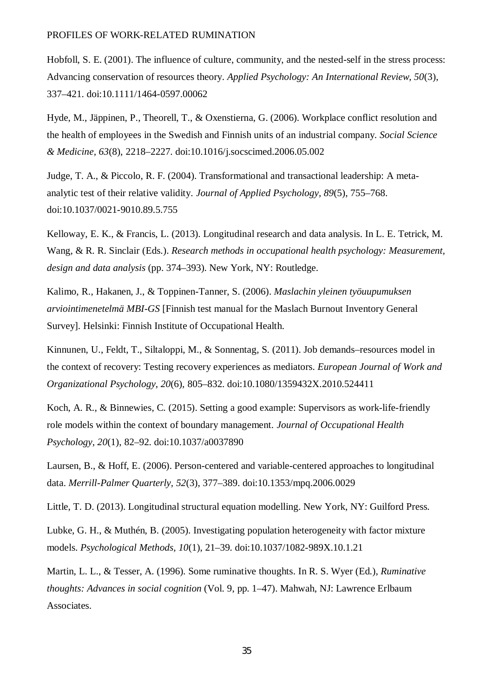Hobfoll, S. E. (2001). The influence of culture, community, and the nested-self in the stress process: Advancing conservation of resources theory. *Applied Psychology: An International Review, 50*(3), 337–421. doi:10.1111/1464-0597.00062

Hyde, M., Jäppinen, P., Theorell, T., & Oxenstierna, G. (2006). Workplace conflict resolution and the health of employees in the Swedish and Finnish units of an industrial company. *Social Science & Medicine, 63*(8), 2218–2227. doi:10.1016/j.socscimed.2006.05.002

Judge, T. A., & Piccolo, R. F. (2004). Transformational and transactional leadership: A metaanalytic test of their relative validity. *Journal of Applied Psychology, 89*(5), 755–768. doi:10.1037/0021-9010.89.5.755

Kelloway, E. K., & Francis, L. (2013). Longitudinal research and data analysis. In L. E. Tetrick, M. Wang, & R. R. Sinclair (Eds.). *Research methods in occupational health psychology: Measurement, design and data analysis* (pp. 374–393). New York, NY: Routledge.

Kalimo, R., Hakanen, J., & Toppinen-Tanner, S. (2006). *Maslachin yleinen työuupumuksen arviointimenetelmä MBI-GS* [Finnish test manual for the Maslach Burnout Inventory General Survey]. Helsinki: Finnish Institute of Occupational Health.

Kinnunen, U., Feldt, T., Siltaloppi, M., & Sonnentag, S. (2011). Job demands–resources model in the context of recovery: Testing recovery experiences as mediators. *European Journal of Work and Organizational Psychology*, *20*(6), 805–832. doi:10.1080/1359432X.2010.524411

Koch, A. R., & Binnewies, C. (2015). Setting a good example: Supervisors as work-life-friendly role models within the context of boundary management. *Journal of Occupational Health Psychology, 20*(1), 82–92. doi:10.1037/a0037890

Laursen, B., & Hoff, E. (2006). Person-centered and variable-centered approaches to longitudinal data. *Merrill-Palmer Quarterly, 52*(3), 377–389. doi:10.1353/mpq.2006.0029

Little, T. D. (2013). Longitudinal structural equation modelling. New York, NY: Guilford Press.

Lubke, G. H., & Muthén, B. (2005). Investigating population heterogeneity with factor mixture models. *Psychological Methods, 10*(1), 21–39. doi:10.1037/1082-989X.10.1.21

Martin, L. L., & Tesser, A. (1996). Some ruminative thoughts. In R. S. Wyer (Ed.), *Ruminative thoughts: Advances in social cognition* (Vol. 9, pp. 1–47). Mahwah, NJ: Lawrence Erlbaum Associates.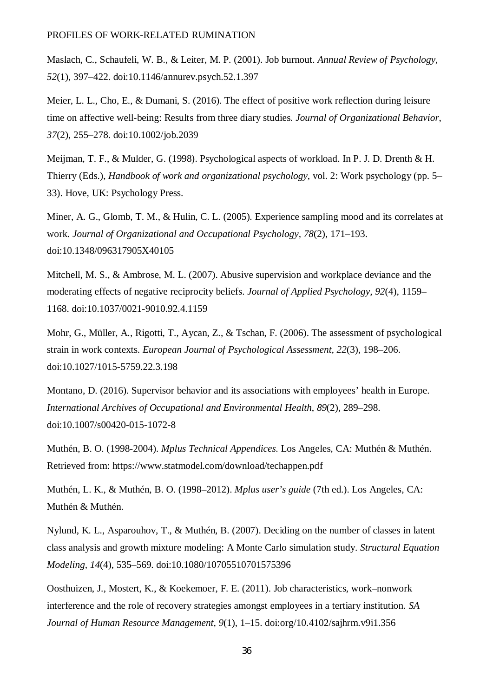Maslach, C., Schaufeli, W. B., & Leiter, M. P. (2001). Job burnout. *Annual Review of Psychology, 52*(1), 397–422. doi:10.1146/annurev.psych.52.1.397

Meier, L. L., Cho, E., & Dumani, S. (2016). The effect of positive work reflection during leisure time on affective well-being: Results from three diary studies. *Journal of Organizational Behavior*, *37*(2), 255–278. doi:10.1002/job.2039

Meijman, T. F., & Mulder, G. (1998). Psychological aspects of workload. In P. J. D. Drenth & H. Thierry (Eds.), *Handbook of work and organizational psychology*, vol. 2: Work psychology (pp. 5– 33). Hove, UK: Psychology Press.

Miner, A. G., Glomb, T. M., & Hulin, C. L. (2005). Experience sampling mood and its correlates at work. *Journal of Organizational and Occupational Psychology, 78*(2), 171–193. doi:10.1348/096317905X40105

Mitchell, M. S., & Ambrose, M. L. (2007). Abusive supervision and workplace deviance and the moderating effects of negative reciprocity beliefs. *Journal of Applied Psychology, 92*(4), 1159– 1168. doi:10.1037/0021-9010.92.4.1159

Mohr, G., Müller, A., Rigotti, T., Aycan, Z., & Tschan, F. (2006). The assessment of psychological strain in work contexts. *European Journal of Psychological Assessment, 22*(3), 198–206. doi:10.1027/1015-5759.22.3.198

Montano, D. (2016). Supervisor behavior and its associations with employees' health in Europe. *International Archives of Occupational and Environmental Health*, *89*(2), 289–298. doi:10.1007/s00420-015-1072-8

Muthén, B. O. (1998-2004). *Mplus Technical Appendices*. Los Angeles, CA: Muthén & Muthén. Retrieved from: https://www.statmodel.com/download/techappen.pdf

Muthén, L. K., & Muthén, B. O. (1998–2012). *Mplus user's guide* (7th ed.). Los Angeles, CA: Muthén & Muthén.

Nylund, K. L., Asparouhov, T., & Muthén, B. (2007). Deciding on the number of classes in latent class analysis and growth mixture modeling: A Monte Carlo simulation study. *Structural Equation Modeling, 14*(4), 535–569. doi:10.1080/10705510701575396

Oosthuizen, J., Mostert, K., & Koekemoer, F. E. (2011). Job characteristics, work–nonwork interference and the role of recovery strategies amongst employees in a tertiary institution. *SA Journal of Human Resource Management, 9*(1), 1–15. doi:org/10.4102/sajhrm.v9i1.356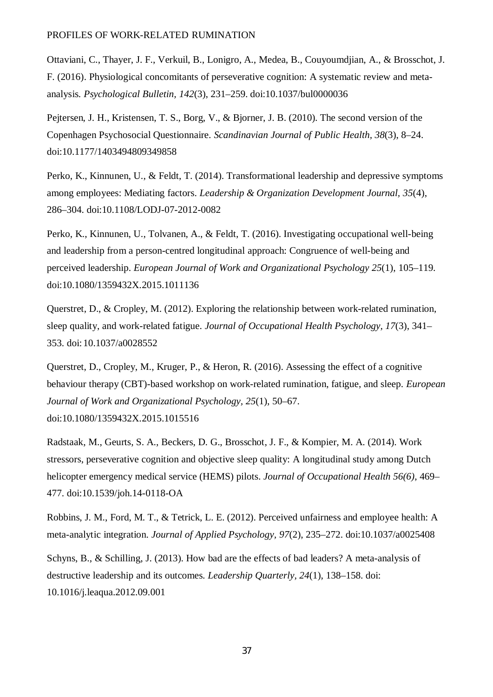Ottaviani, C., Thayer, J. F., Verkuil, B., Lonigro, A., Medea, B., Couyoumdjian, A., & Brosschot, J. F. (2016). Physiological concomitants of perseverative cognition: A systematic review and metaanalysis. *Psychological Bulletin, 142*(3), 231–259. doi:10.1037/bul0000036

Pejtersen, J. H., Kristensen, T. S., Borg, V., & Bjorner, J. B. (2010). The second version of the Copenhagen Psychosocial Questionnaire. *Scandinavian Journal of Public Health, 38*(3), 8–24. doi:10.1177/1403494809349858

Perko, K., Kinnunen, U., & Feldt, T. (2014). Transformational leadership and depressive symptoms among employees: Mediating factors. *Leadership & Organization Development Journal, 35*(4), 286–304. doi:10.1108/LODJ-07-2012-0082

Perko, K., Kinnunen, U., Tolvanen, A., & Feldt, T. (2016). Investigating occupational well-being and leadership from a person-centred longitudinal approach: Congruence of well-being and perceived leadership. *European Journal of Work and Organizational Psychology 25*(1), 105–119. doi:10.1080/1359432X.2015.1011136

Querstret, D., & Cropley, M. (2012). Exploring the relationship between work-related rumination, sleep quality, and work-related fatigue. *Journal of Occupational Health Psychology, 17*(3), 341– 353. doi:10.1037/a0028552

Querstret, D., Cropley, M., Kruger, P., & Heron, R. (2016). Assessing the effect of a cognitive behaviour therapy (CBT)-based workshop on work-related rumination, fatigue, and sleep. *European Journal of Work and Organizational Psychology, 25*(1), 50–67. doi:10.1080/1359432X.2015.1015516

Radstaak, M., Geurts, S. A., Beckers, D. G., Brosschot, J. F., & Kompier, M. A. (2014). Work stressors, perseverative cognition and objective sleep quality: A longitudinal study among Dutch helicopter emergency medical service (HEMS) pilots. *Journal of Occupational Health 56(6)*, 469– 477. doi:10.1539/joh.14-0118-OA

Robbins, J. M., Ford, M. T., & Tetrick, L. E. (2012). Perceived unfairness and employee health: A meta-analytic integration. *Journal of Applied Psychology, 97*(2), 235–272. doi:10.1037/a0025408

Schyns, B., & Schilling, J. (2013). How bad are the effects of bad leaders? A meta-analysis of destructive leadership and its outcomes*. Leadership Quarterly, 24*(1), 138–158. doi: 10.1016/j.leaqua.2012.09.001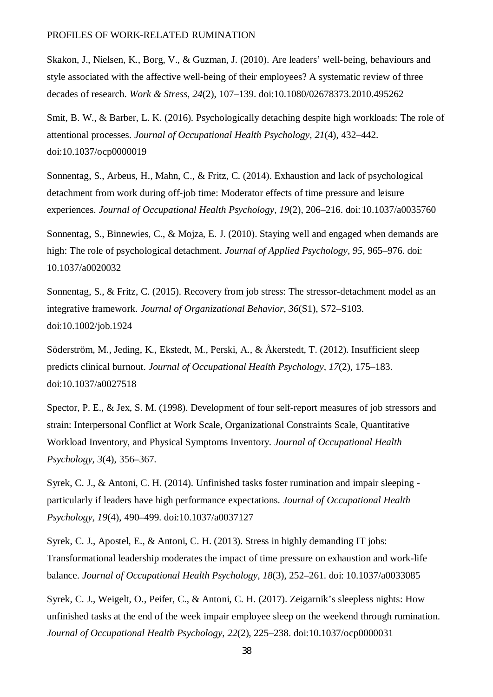Skakon, J., Nielsen, K., Borg, V., & Guzman, J. (2010). Are leaders' well-being, behaviours and style associated with the affective well-being of their employees? A systematic review of three decades of research. *Work & Stress, 24*(2), 107–139. doi:10.1080/02678373.2010.495262

Smit, B. W., & Barber, L. K. (2016). Psychologically detaching despite high workloads: The role of attentional processes. *Journal of Occupational Health Psychology, 21*(4), 432–442. doi:10.1037/ocp0000019

Sonnentag, S., Arbeus, H., Mahn, C., & Fritz, C. (2014). Exhaustion and lack of psychological detachment from work during off-job time: Moderator effects of time pressure and leisure experiences. *Journal of Occupational Health Psychology, 19*(2), 206–216. doi:10.1037/a0035760

Sonnentag, S., Binnewies, C., & Mojza, E. J. (2010). Staying well and engaged when demands are high: The role of psychological detachment. *Journal of Applied Psychology, 95*, 965–976. doi: 10.1037/a0020032

Sonnentag, S., & Fritz, C. (2015). Recovery from job stress: The stressor-detachment model as an integrative framework. *Journal of Organizational Behavior, 36*(S1), S72–S103. doi:10.1002/job.1924

Söderström, M., Jeding, K., Ekstedt, M., Perski, A., & Åkerstedt, T. (2012). Insufficient sleep predicts clinical burnout. *Journal of Occupational Health Psychology, 17*(2), 175–183. doi:10.1037/a0027518

Spector, P. E., & Jex, S. M. (1998). Development of four self-report measures of job stressors and strain: Interpersonal Conflict at Work Scale, Organizational Constraints Scale, Quantitative Workload Inventory, and Physical Symptoms Inventory*. Journal of Occupational Health Psychology, 3*(4), 356–367.

Syrek, C. J., & Antoni, C. H. (2014). Unfinished tasks foster rumination and impair sleeping particularly if leaders have high performance expectations. *Journal of Occupational Health Psychology, 19*(4), 490–499. doi:10.1037/a0037127

Syrek, C. J., Apostel, E., & Antoni, C. H. (2013). Stress in highly demanding IT jobs: Transformational leadership moderates the impact of time pressure on exhaustion and work-life balance. *Journal of Occupational Health Psychology, 18*(3), 252–261. doi: 10.1037/a0033085

Syrek, C. J., Weigelt, O., Peifer, C., & Antoni, C. H. (2017). Zeigarnik's sleepless nights: How unfinished tasks at the end of the week impair employee sleep on the weekend through rumination. *Journal of Occupational Health Psychology*, *22*(2), 225–238. doi:10.1037/ocp0000031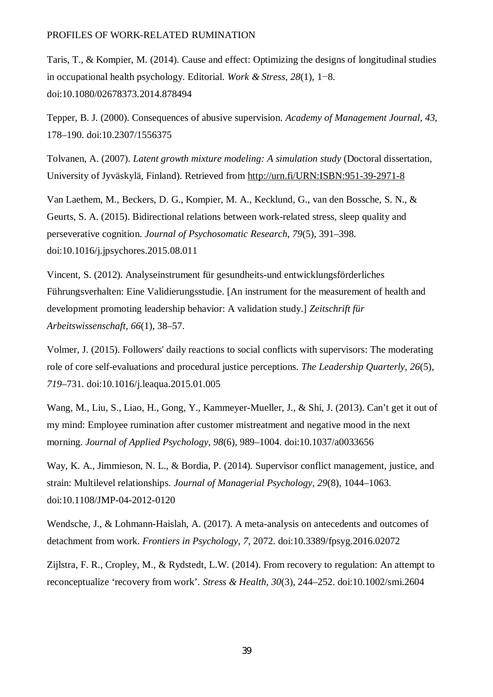Taris, T., & Kompier, M. (2014). Cause and effect: Optimizing the designs of longitudinal studies in occupational health psychology. Editorial. *Work & Stress, 28*(1), 1−8. doi:10.1080/02678373.2014.878494

Tepper, B. J. (2000). Consequences of abusive supervision. *Academy of Management Journal, 43*, 178–190. doi:10.2307/1556375

Tolvanen, A. (2007). *Latent growth mixture modeling: A simulation study* (Doctoral dissertation, University of Jyväskylä, Finland). Retrieved from<http://urn.fi/URN:ISBN:951-39-2971-8>

Van Laethem, M., Beckers, D. G., Kompier, M. A., Kecklund, G., van den Bossche, S. N., & Geurts, S. A. (2015). Bidirectional relations between work-related stress, sleep quality and perseverative cognition. *Journal of Psychosomatic Research*, *79*(5), 391–398. doi:10.1016/j.jpsychores.2015.08.011

Vincent, S. (2012). Analyseinstrument für gesundheits-und entwicklungsförderliches Führungsverhalten: Eine Validierungsstudie. [An instrument for the measurement of health and development promoting leadership behavior: A validation study.] *Zeitschrift für Arbeitswissenschaft, 66*(1), 38–57.

Volmer, J. (2015). Followers' daily reactions to social conflicts with supervisors: The moderating role of core self-evaluations and procedural justice perceptions. *The Leadership Quarterly, 26*(5)*, 719*–731. doi:10.1016/j.leaqua.2015.01.005

Wang, M., Liu, S., Liao, H., Gong, Y., Kammeyer-Mueller, J., & Shi, J. (2013). Can't get it out of my mind: Employee rumination after customer mistreatment and negative mood in the next morning. *Journal of Applied Psychology, 98*(6), 989–1004. doi:10.1037/a0033656

Way, K. A., Jimmieson, N. L., & Bordia, P. (2014). Supervisor conflict management, justice, and strain: Multilevel relationships. *Journal of Managerial Psychology, 29*(8), 1044–1063. doi:10.1108/JMP-04-2012-0120

Wendsche, J., & Lohmann-Haislah, A. (2017). A meta-analysis on antecedents and outcomes of detachment from work. *Frontiers in Psychology, 7*, 2072. doi:10.3389/fpsyg.2016.02072

Zijlstra, F. R., Cropley, M., & Rydstedt, L.W. (2014). From recovery to regulation: An attempt to reconceptualize 'recovery from work'. *Stress & Health, 30*(3), 244–252. doi:10.1002/smi.2604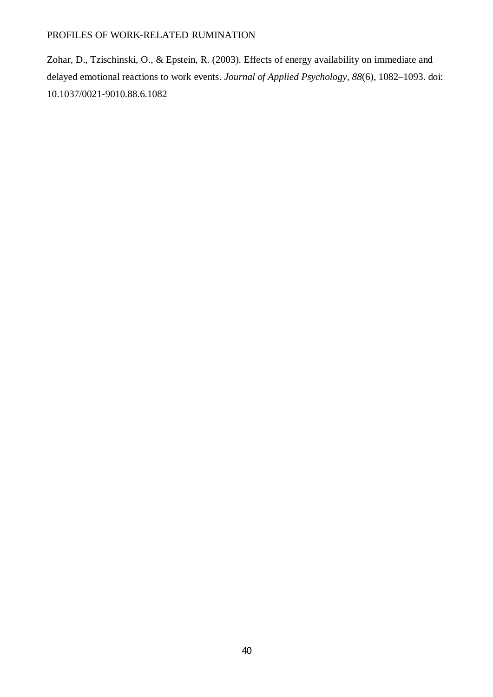Zohar, D., Tzischinski, O., & Epstein, R. (2003). Effects of energy availability on immediate and delayed emotional reactions to work events. *Journal of Applied Psychology, 88*(6), 1082–1093. doi: 10.1037/0021-9010.88.6.1082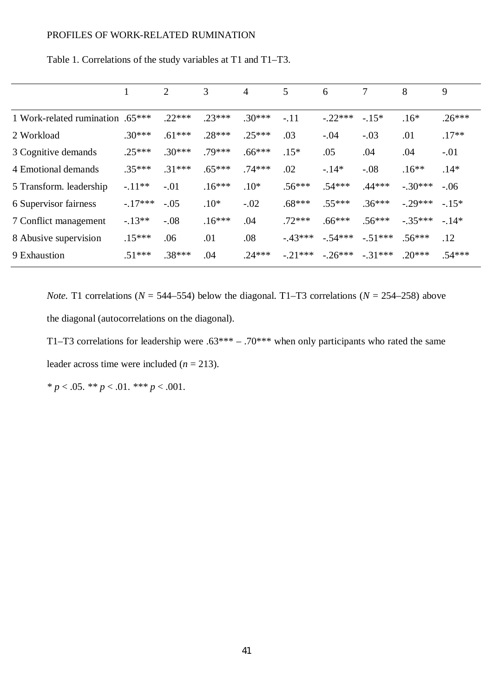|                                  |          | 2        | 3        | 4        | 5         | 6         | 7         | 8         | 9        |
|----------------------------------|----------|----------|----------|----------|-----------|-----------|-----------|-----------|----------|
| 1 Work-related rumination .65*** |          | $.22***$ | $.23***$ | $.30***$ | $-.11$    | $-.22***$ | $-.15*$   | $.16*$    | $.26***$ |
| 2 Workload                       | $.30***$ | $.61***$ | $.28***$ | $.25***$ | .03       | $-.04$    | $-.03$    | .01       | $.17**$  |
| 3 Cognitive demands              | $.25***$ | $.30***$ | $.79***$ | $.66***$ | $.15*$    | .05       | .04       | .04       | $-.01$   |
| 4 Emotional demands              | $.35***$ | $.31***$ | $.65***$ | $.74***$ | .02       | $-14*$    | $-.08$    | $.16**$   | $.14*$   |
| 5 Transform. leadership          | $-.11**$ | $-.01$   | $.16***$ | $.10*$   | $.56***$  | $.54***$  | $.44***$  | $-.30***$ | $-.06$   |
| 6 Supervisor fairness            | $-17***$ | $-.05$   | $.10*$   | $-.02$   | $.68***$  | $.55***$  | $.36***$  | $-.29***$ | $-.15*$  |
| 7 Conflict management            | $-13**$  | $-.08$   | $.16***$ | .04      | $.72***$  | $.66***$  | $.56***$  | $-.35***$ | $-14*$   |
| 8 Abusive supervision            | $.15***$ | .06      | .01      | .08      | $-43***$  | $-.54***$ | $-.51***$ | $.56***$  | .12      |
| 9 Exhaustion                     | $.51***$ | $.38***$ | .04      | $.24***$ | $-.21***$ | $-.26***$ | $-.31***$ | $.20***$  | $.54***$ |

Table 1. Correlations of the study variables at T1 and T1–T3.

*Note.* T1 correlations ( $N = 544-554$ ) below the diagonal. T1–T3 correlations ( $N = 254-258$ ) above the diagonal (autocorrelations on the diagonal).

T1–T3 correlations for leadership were  $.63*** - .70***$  when only participants who rated the same leader across time were included  $(n = 213)$ .

*\* p* < .05. *\*\* p* < .01. *\*\*\* p* < .001.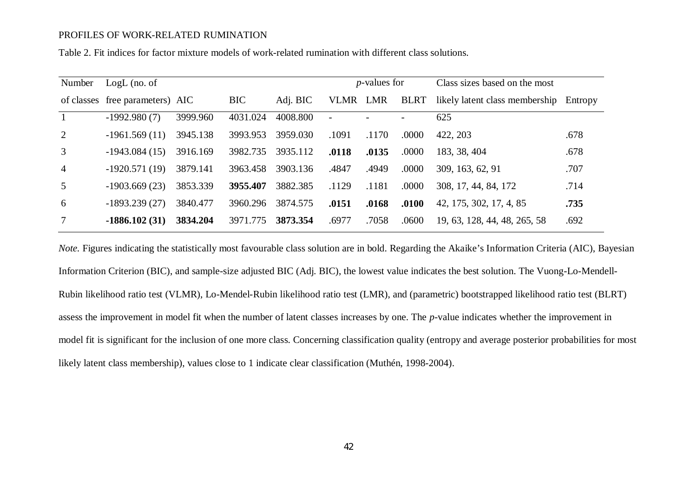Table 2. Fit indices for factor mixture models of work-related rumination with different class solutions.

| Number          | $LogL$ (no. of                  |          |            |          |                          | <i>p</i> -values for |             | Class sizes based on the most          |      |  |
|-----------------|---------------------------------|----------|------------|----------|--------------------------|----------------------|-------------|----------------------------------------|------|--|
|                 | of classes free parameters) AIC |          | <b>BIC</b> | Adj. BIC | VLMR LMR                 |                      | <b>BLRT</b> | likely latent class membership Entropy |      |  |
|                 | $-1992.980(7)$                  | 3999.960 | 4031.024   | 4008.800 | $\overline{\phantom{a}}$ |                      |             | 625                                    |      |  |
| 2               | $-1961.569(11)$                 | 3945.138 | 3993.953   | 3959.030 | .1091                    | .1170                | .0000       | 422, 203                               | .678 |  |
| 3               | $-1943.084(15)$                 | 3916.169 | 3982.735   | 3935.112 | .0118                    | .0135                | .0000       | 183, 38, 404                           | .678 |  |
| $\overline{4}$  | $-1920.571(19)$                 | 3879.141 | 3963.458   | 3903.136 | .4847                    | .4949                | .0000       | 309, 163, 62, 91                       | .707 |  |
| $\overline{5}$  | $-1903.669(23)$                 | 3853.339 | 3955.407   | 3882.385 | .1129                    | .1181                | .0000       | 308, 17, 44, 84, 172                   | .714 |  |
| 6               | $-1893.239(27)$                 | 3840.477 | 3960.296   | 3874.575 | .0151                    | .0168                | .0100       | 42, 175, 302, 17, 4, 85                | .735 |  |
| $7\overline{ }$ | $-1886.102(31)$                 | 3834.204 | 3971.775   | 3873.354 | .6977                    | .7058                | .0600       | 19, 63, 128, 44, 48, 265, 58           | .692 |  |

*Note.* Figures indicating the statistically most favourable class solution are in bold. Regarding the Akaike's Information Criteria (AIC), Bayesian Information Criterion (BIC), and sample-size adjusted BIC (Adj. BIC), the lowest value indicates the best solution. The Vuong-Lo-Mendell-Rubin likelihood ratio test (VLMR), Lo-Mendel-Rubin likelihood ratio test (LMR), and (parametric) bootstrapped likelihood ratio test (BLRT) assess the improvement in model fit when the number of latent classes increases by one. The *p*-value indicates whether the improvement in model fit is significant for the inclusion of one more class. Concerning classification quality (entropy and average posterior probabilities for most likely latent class membership), values close to 1 indicate clear classification (Muthén, 1998-2004).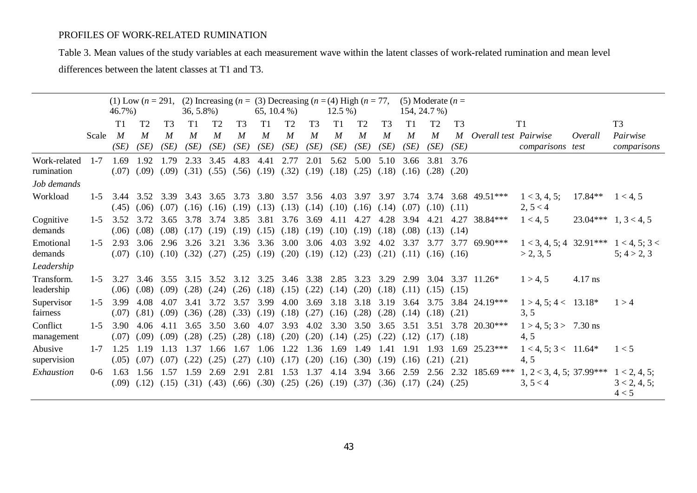Table 3. Mean values of the study variables at each measurement wave within the latent classes of work-related rumination and mean level differences between the latent classes at T1 and T3.

|                                           |         | 46.7%)        |                          | (1) Low $(n = 291, (2)$ Increasing $(n = (3)$ Decreasing $(n = (4)$ High $(n = 77,$<br>$36, 5.8\%$ |                                                                                                                         |                          | 65, 10.4 $%$             |                          |                                         | $12.5\%$                 |                          | (5) Moderate $(n =$<br>154, 24.7 %) |                        |                          |                                 |                |                                 |                                        |           |                                       |
|-------------------------------------------|---------|---------------|--------------------------|----------------------------------------------------------------------------------------------------|-------------------------------------------------------------------------------------------------------------------------|--------------------------|--------------------------|--------------------------|-----------------------------------------|--------------------------|--------------------------|-------------------------------------|------------------------|--------------------------|---------------------------------|----------------|---------------------------------|----------------------------------------|-----------|---------------------------------------|
|                                           |         | T1            | T <sub>2</sub>           | T <sub>3</sub>                                                                                     | T1                                                                                                                      | T <sub>2</sub>           | T <sub>3</sub>           | T1                       | T <sub>2</sub>                          | T <sub>3</sub>           | T1                       | T <sub>2</sub>                      | T <sub>3</sub>         | T1                       | T <sub>2</sub>                  | T <sub>3</sub> |                                 | T1                                     |           | T <sub>3</sub>                        |
|                                           | Scale   | M<br>(SE)     | $\boldsymbol{M}$<br>(SE) | $\boldsymbol{M}$<br>(SE)                                                                           | $\boldsymbol{M}$<br>(SE)                                                                                                | $\boldsymbol{M}$<br>(SE) | $\boldsymbol{M}$<br>(SE) | $\boldsymbol{M}$<br>(SE) | $\boldsymbol{M}$<br>(SE)                | $\boldsymbol{M}$<br>(SE) | $\boldsymbol{M}$<br>(SE) | M<br>(SE)                           | $\overline{M}$<br>(SE) | $\boldsymbol{M}$<br>(SE) | $\boldsymbol{M}$<br>(SE)        | M<br>(SE)      | Overall test Pairwise           | comparisons test                       | Overall   | Pairwise<br>comparisons               |
| Work-related<br>rumination<br>Job demands | $1 - 7$ | 1.69<br>(.07) | 1.92<br>(.09)            | 1.79<br>(.09)                                                                                      | 2.33<br>(.31)                                                                                                           | 3.45<br>(.55)            | 4.83<br>(.56)            | 4.41                     | 2.77<br>$(.19)$ $(.32)$                 | 2.01<br>(.19)            | 5.62<br>(.18)            | 5.00<br>(.25)                       | 5.10<br>(.18)          | 3.66<br>(.16)            | 3.81<br>$(.28)$ $(.20)$         | 3.76           |                                 |                                        |           |                                       |
| Workload                                  | $1 - 5$ | 3.44          |                          | 3.52 3.39                                                                                          | 3.43 3.65 3.73 3.80 3.57 3.56 4.03 3.97 3.97<br>$(.45)$ $(.06)$ $(.07)$ $(.16)$ $(.16)$ $(.19)$ $(.13)$ $(.13)$ $(.14)$ |                          |                          |                          |                                         |                          | $(.10)$ $(.16)$ $(.14)$  |                                     |                        |                          | $(.07)$ $(.10)$ $(.11)$         |                | $3.74$ $3.74$ $3.68$ $49.51***$ | 1 < 3, 4, 5;<br>2, 5 < 4               | $17.84**$ | 1 < 4, 5                              |
| Cognitive<br>demands                      | $1 - 5$ | 3.52<br>(.06) |                          | 3.72 3.65<br>$(.08)$ $(.08)$                                                                       | 3.78 3.74<br>$(.17)$ $(.19)$                                                                                            |                          | 3.85<br>(.19)            | 3.81                     | $(.15)$ $(.18)$ $(.19)$ $(.10)$ $(.19)$ | 3.76 3.69                | 4.11                     | 4.27                                | 4.28<br>(.18)          | 3.94<br>(.08)            | $(.13)$ $(.14)$                 | 4.21 4.27      | 38.84***                        | 1 < 4, 5                               |           | $23.04***$ 1, 3 < 4, 5                |
| Emotional<br>demands                      | $1 - 5$ | 2.93<br>(.07) |                          | 3.06 2.96<br>$(.10)$ $(.10)$                                                                       | 3.26<br>(.32)                                                                                                           | 3.21<br>(.27)            | 3.36<br>(.25)            | 3.36                     | 3.00<br>$(.19)$ $(.20)$                 | 3.06                     | 4.03<br>$(.19)$ $(.12)$  | 3.92<br>(.23)                       | 4.02<br>(.21)          | 3.37                     | 3.77<br>$(.11)$ $(.16)$ $(.16)$ | 3.77           | 69.90***                        | $1 < 3, 4, 5; 4$ 32.91***<br>> 2, 3, 5 |           | 1 < 4, 5; 3 <<br>5:4 > 2,3            |
| Leadership                                |         |               |                          |                                                                                                    |                                                                                                                         |                          |                          |                          |                                         |                          |                          |                                     |                        |                          |                                 |                |                                 |                                        |           |                                       |
| Transform.<br>leadership                  | $1 - 5$ | 3.27<br>(.06) |                          | $(.08)$ $(.09)$                                                                                    | 3.46 3.55 3.15 3.52 3.12 3.25 3.46 3.38 2.85 3.23 3.29<br>(.28)                                                         | (.24)                    | (.26)                    |                          | $(.18)$ $(.15)$ $(.22)$                 |                          | (.14)                    |                                     | $(.20)$ $(.18)$        | 2.99                     | $(.11)$ $(.15)$ $(.15)$         |                | $3.04$ $3.37$ $11.26*$          | 1 > 4, 5                               | 4.17 ns   |                                       |
| Supervisor<br>fairness                    | $1 - 5$ | 3.99<br>(.07) | 4.08                     | 4.07<br>$(.81)$ $(.09)$                                                                            | 3.41<br>$(.36)$ $(.28)$                                                                                                 | 3.72                     | 3.57<br>(.33)            | 3.99                     | 4.00<br>$(.19)$ $(.18)$ $(.27)$         | 3.69                     | 3.18<br>$(.16)$ $(.28)$  | 3.18                                | 3.19<br>(.28)          | 3.64<br>(.14)            | 3.75<br>$(.18)$ $(.21)$         |                | $3.84$ 24.19***                 | $1 > 4, 5; 4 < 13.18*$<br>3, 5         |           | 1 > 4                                 |
| Conflict<br>management                    | $1 - 5$ | 3.90<br>(.07) | 4.06<br>(.09)            | 4.11<br>(.09)                                                                                      | 3.65<br>(.28)                                                                                                           | 3.50<br>(.25)            | 3.60<br>(.28)            | 4.07<br>(.18)            | 3.93<br>(.20)                           | 4.02<br>(.20)            | 3.30<br>(.14)            | 3.50<br>(.25)                       | 3.65<br>(.22)          | 3.51<br>(.12)            | 3.51<br>$(.17)$ $(.18)$         |                | $3.78$ 20.30***                 | $1 > 4$ , 5; 3 > 7.30 ns<br>4, 5       |           |                                       |
| Abusive<br>supervision                    | $1 - 7$ | 1.25<br>(.05) | 1.19                     | 1.13<br>$(.07)$ $(.07)$                                                                            | 1.37<br>(.22)                                                                                                           | 1.66<br>(.25)            | 1.67<br>(.27)            | 1.06                     | 1.22<br>$(.10)$ $(.17)$                 | 1.36<br>(.20)            | 1.69<br>(.16)            | 1.49<br>(.30)                       | 1.41<br>(.19)          | 1.91<br>(.16)            | 1.93<br>$(.21)$ $(.21)$         | 1.69           | 25.23***                        | $1 < 4, 5; 3 < 11.64*$<br>4, 5         |           | 1 < 5                                 |
| Exhaustion                                | $0 - 6$ | 1.63<br>(.09) | 1.56<br>(.12)            | 1.57<br>(.15)                                                                                      | 1.59<br>$(.31)$ $(.43)$                                                                                                 | 2.69                     | 2.91<br>(.66)            | 2.81                     | 1.53<br>$(.30)$ $(.25)$                 | 1.37<br>(.26)            | (.19)                    | 4.14 3.94<br>(.37)                  | (.36)                  | 3.66 2.59<br>(.17)       | $(.24)$ $(.25)$                 | 2.56 2.32      | 185.69 ***                      | $1, 2 < 3, 4, 5; 37.99***$<br>3, 5 < 4 |           | 1 < 2, 4, 5;<br>3 < 2, 4, 5;<br>4 < 5 |